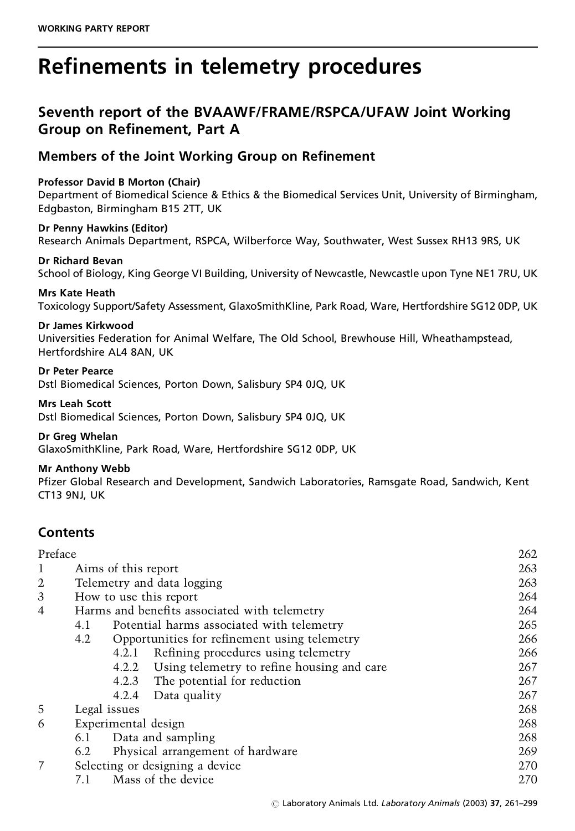# **Refinements in telemetry procedures**

# **Seventh report of the BVAAWF/FRAME/RSPCA/UFAW Joint Working Group on Re nement, Part A**

# **Members** of the Joint Working Group on Refinement

## **Professor David B Morton (Chair)**

Department of Biomedical Science & Ethics & the Biomedical Services Unit, University of Birmingham, Edgbaston, Birmingham B15 2TT, UK

**Dr Penny Hawkins (Editor)** Research Animals Department, RSPCA, Wilberforce Way, Southwater, West Sussex RH13 9RS, UK

**Dr Richard Bevan** School of Biology, King George VI Building, University of Newcastle, Newcastle upon Tyne NE1 7RU, UK

**Mrs Kate Heath**

Toxicology Support/Safety Assessment, GlaxoSmithKline, Park Road, Ware, Hertfordshire SG12 0DP, UK

#### **Dr James Kirkwood**

Universities Federation for Animal Welfare, The Old School, Brewhouse Hill, Wheathampstead, Hertfordshire AL4 8AN, UK

#### **Dr Peter Pearce**

Dstl Biomedical Sciences, Porton Down, Salisbury SP4 0JQ, UK

#### **Mrs Leah Scott**

Dstl Biomedical Sciences, Porton Down, Salisbury SP4 0JQ, UK

#### **Dr Greg Whelan**

GlaxoSmithKline, Park Road, Ware, Hertfordshire SG12 0DP, UK

#### **Mr Anthony Webb**

Pfizer Global Research and Development, Sandwich Laboratories, Ramsgate Road, Sandwich, Kent CT13 9NJ, UK

# **Contents**

| Preface        |                                              |                                                     | 262 |
|----------------|----------------------------------------------|-----------------------------------------------------|-----|
| 1              |                                              | Aims of this report                                 | 263 |
| $\mathfrak{2}$ |                                              | Telemetry and data logging                          | 263 |
| 3              |                                              | How to use this report                              | 264 |
| 4              | Harms and benefits associated with telemetry |                                                     | 264 |
|                | 4.1                                          | Potential harms associated with telemetry           | 265 |
|                | 4.2                                          | Opportunities for refinement using telemetry        | 266 |
|                |                                              | Refining procedures using telemetry<br>4.2.1        | 266 |
|                |                                              | Using telemetry to refine housing and care<br>4.2.2 | 267 |
|                |                                              | The potential for reduction<br>4.2.3                | 267 |
|                |                                              | 4.2.4 Data quality                                  | 267 |
| 5              | Legal issues                                 |                                                     | 268 |
| 6              | Experimental design                          |                                                     | 268 |
|                | 6.1                                          | Data and sampling                                   | 268 |
|                | 6.2                                          | Physical arrangement of hardware                    | 269 |
|                | Selecting or designing a device              |                                                     | 270 |
|                | 7.1                                          | Mass of the device                                  | 270 |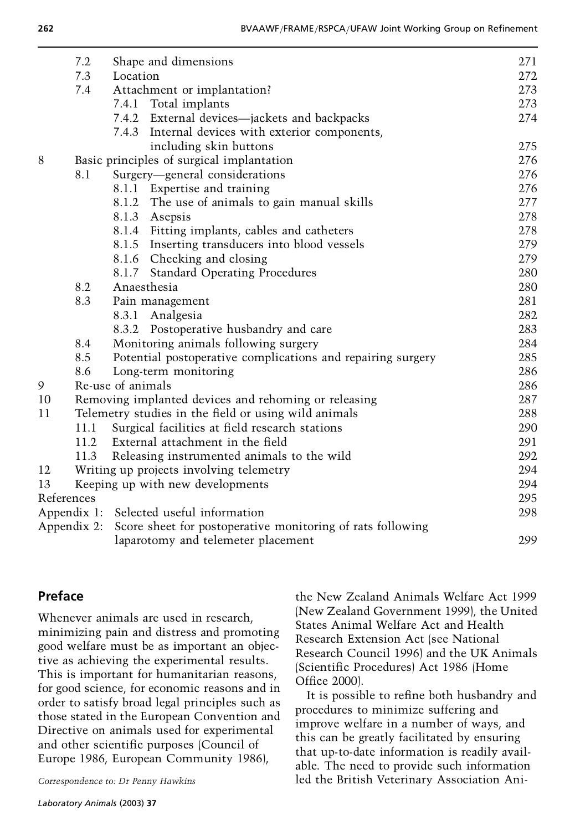|            | 7.2                                       | Shape and dimensions                                                                                                                                                                                                                                        | 271 |
|------------|-------------------------------------------|-------------------------------------------------------------------------------------------------------------------------------------------------------------------------------------------------------------------------------------------------------------|-----|
|            | 7.3                                       | Location                                                                                                                                                                                                                                                    | 272 |
|            | 7.4                                       | Attachment or implantation?                                                                                                                                                                                                                                 | 273 |
|            |                                           | 7.4.1 Total implants                                                                                                                                                                                                                                        | 273 |
|            |                                           | 7.4.2 External devices—jackets and backpacks                                                                                                                                                                                                                | 274 |
|            |                                           | Internal devices with exterior components,<br>7.4.3                                                                                                                                                                                                         |     |
|            |                                           | including skin buttons                                                                                                                                                                                                                                      | 275 |
| 8          | Basic principles of surgical implantation |                                                                                                                                                                                                                                                             | 276 |
|            | 8.1                                       | Surgery-general considerations                                                                                                                                                                                                                              | 276 |
|            |                                           | 8.1.1 Expertise and training                                                                                                                                                                                                                                | 276 |
|            |                                           | 8.1.2 The use of animals to gain manual skills<br>8.1.3<br>Asepsis<br>8.1.4 Fitting implants, cables and catheters<br>Inserting transducers into blood vessels<br>8.1.5<br>8.1.6 Checking and closing<br>8.1.7 Standard Operating Procedures<br>Anaesthesia | 277 |
|            |                                           |                                                                                                                                                                                                                                                             | 278 |
|            |                                           |                                                                                                                                                                                                                                                             | 278 |
|            |                                           |                                                                                                                                                                                                                                                             | 279 |
|            |                                           |                                                                                                                                                                                                                                                             | 279 |
|            |                                           |                                                                                                                                                                                                                                                             | 280 |
|            | 8.2                                       |                                                                                                                                                                                                                                                             | 280 |
|            | 8.3                                       | Pain management                                                                                                                                                                                                                                             | 281 |
|            |                                           | 8.3.1 Analgesia                                                                                                                                                                                                                                             | 282 |
|            |                                           | 8.3.2 Postoperative husbandry and care                                                                                                                                                                                                                      | 283 |
|            | 8.4                                       | Monitoring animals following surgery                                                                                                                                                                                                                        | 284 |
|            | 8.5                                       | Potential postoperative complications and repairing surgery                                                                                                                                                                                                 | 285 |
|            | 8.6                                       | Long-term monitoring                                                                                                                                                                                                                                        | 286 |
| 9          |                                           | Re-use of animals                                                                                                                                                                                                                                           | 286 |
| 10         |                                           | Removing implanted devices and rehoming or releasing                                                                                                                                                                                                        | 287 |
| 11         |                                           | Telemetry studies in the field or using wild animals                                                                                                                                                                                                        | 288 |
|            | 11.1                                      | Surgical facilities at field research stations                                                                                                                                                                                                              | 290 |
|            | 11.2                                      | External attachment in the field                                                                                                                                                                                                                            | 291 |
|            | 11.3                                      | Releasing instrumented animals to the wild                                                                                                                                                                                                                  | 292 |
| 12         |                                           | Writing up projects involving telemetry                                                                                                                                                                                                                     | 294 |
| 13         |                                           | Keeping up with new developments                                                                                                                                                                                                                            | 294 |
| References |                                           |                                                                                                                                                                                                                                                             | 295 |
|            |                                           | Appendix 1: Selected useful information                                                                                                                                                                                                                     | 298 |
|            | Appendix 2:                               | Score sheet for postoperative monitoring of rats following                                                                                                                                                                                                  |     |
|            |                                           | laparotomy and telemeter placement                                                                                                                                                                                                                          | 299 |
|            |                                           |                                                                                                                                                                                                                                                             |     |

# **Preface**

Whenever animals are used in research, minimizing pain and distress and promoting good welfare must be as important an objective as achieving the experimental results. This is important for humanitarian reasons, for good science, for economic reasons and in order to satisfy broad legal principles such as those stated in the European Convention and Directive on animals used for experimental and other scientific purposes (Council of Europe 1986, European Community 1986),

the New Zealand Animals Welfare Act 1999 (New Zealand Government 1999), the United States Animal Welfare Act and Health Research Extension Act (see National Research Council 1996) and the UK Animals (Scientific Procedures) Act 1986 (Home Office 2000).

It is possible to refine both husbandry and procedures to minimize suffering and improve welfare in a number of ways, and this can be greatly facilitated by ensuring that up-to-date information is readily available. The need to provide such information *Correspondence to: Dr Penny Hawkins* led the British Veterinary Association Ani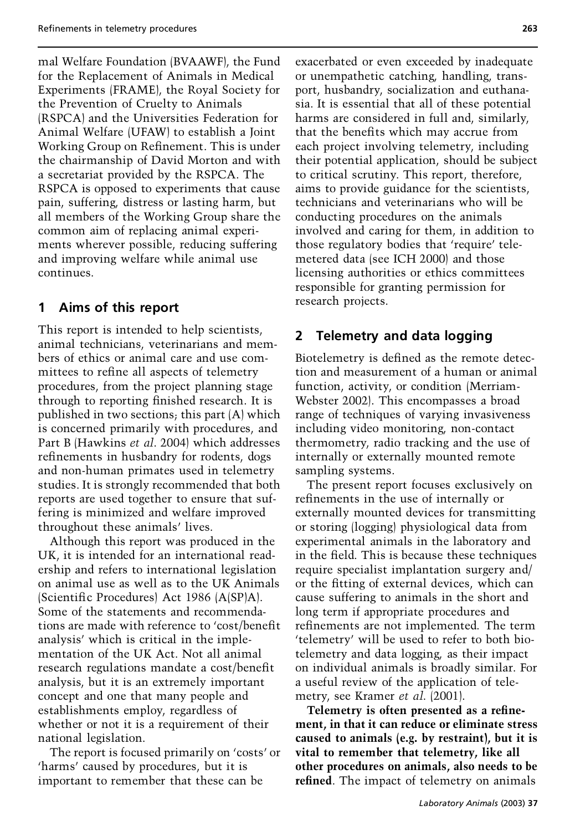mal Welfare Foundation (BVAAWF), the Fund for the Replacement of Animals in Medical Experiments (FRAME), the Royal Society for the Prevention of Cruelty to Animals (RSPCA) and the Universities Federation for Animal Welfare (UFAW) to establish a Joint Working Group on Refinement. This is under the chairmanship of David Morton and with a secretariat provided by the RSPCA. The RSPCA is opposed to experiments that cause pain, suffering, distress or lasting harm, but all members of the Working Group share the common aim of replacing animal experiments wherever possible, reducing suffering and improving welfare while animal use continues.

## **1 Aims of this report**

This report is intended to help scientists, animal technicians, veterinarians and members of ethics or animal care and use committees to refine all aspects of telemetry procedures, from the project planning stage through to reporting finished research. It is published in two sections; this part (A) which is concerned primarily with procedures, and Part B (Hawkins *et al*. 2004) which addresses refinements in husbandry for rodents, dogs and non-human primates used in telemetry studies. It is strongly recommended that both reports are used together to ensure that suffering is minimized and welfare improved throughout these animals' lives.

Although this report was produced in the UK, it is intended for an international readership and refers to international legislation on animal use as well as to the UK Animals (Scientific Procedures) Act 1986 (A(SP)A). Some of the statements and recommendations are made with reference to 'cost/benefit analysis' which is critical in the implementation of the UK Act. Not all animal research regulations mandate a cost/benefit analysis, but it is an extremely important concept and one that many people and establishments employ, regardless of whether or not it is a requirement of their national legislation.

The report is focused primarily on 'costs' or 'harms' caused by procedures, but it is important to remember that these can be

exacerbated or even exceeded by inadequate or unempathetic catching, handling, transport, husbandry, socialization and euthanasia. It is essential that all of these potential harms are considered in full and, similarly, that the benefits which may accrue from each project involving telemetry, including their potential application, should be subject to critical scrutiny. This report, therefore, aims to provide guidance for the scientists, technicians and veterinarians who will be conducting procedures on the animals involved and caring for them, in addition to those regulatory bodies that 'require' telemetered data (see ICH 2000) and those licensing authorities or ethics committees responsible for granting permission for research projects.

## **2 Telemetry and data logging**

Biotelemetry is defined as the remote detection and measurement of a human or animal function, activity, or condition (Merriam-Webster 2002). This encompasses a broad range of techniques of varying invasiveness including video monitoring, non-contact thermometry, radio tracking and the use of internally or externally mounted remote sampling systems.

The present report focuses exclusively on refinements in the use of internally or externally mounted devices for transmitting or storing (logging) physiological data from experimental animals in the laboratory and in the field. This is because these techniques require specialist implantation surgery and/ or the fitting of external devices, which can cause suffering to animals in the short and long term if appropriate procedures and refinements are not implemented. The term 'telemetry' will be used to refer to both biotelemetry and data logging, as their impact on individual animals is broadly similar. For a useful review of the application of telemetry, see Kramer *et al*. (2001).

**Telemetry** is often presented as a refine**ment, in that it can reduce or eliminate stress caused to animals (e.g. by restraint), but it is vital to remember that telemetry, like all other procedures on animals, also needs to be** refined. The impact of telemetry on animals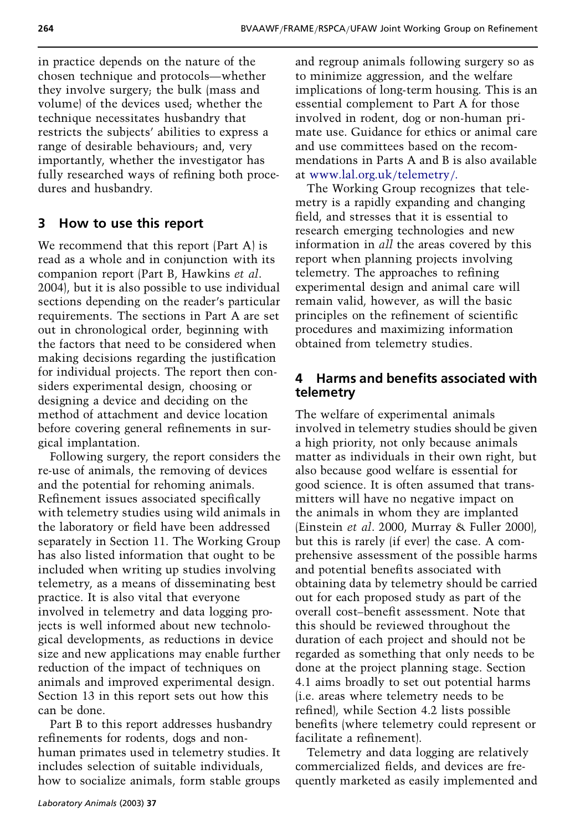in practice depends on the nature of the chosen technique and protocols—whether they involve surgery; the bulk (mass and volume) of the devices used; whether the technique necessitates husbandry that restricts the subjects' abilities to express a range of desirable behaviours; and, very importantly, whether the investigator has fully researched ways of refining both procedures and husbandry.

# **3 How to use this report**

We recommend that this report (Part A) is read as a whole and in conjunction with its companion report (Part B, Hawkins *et al*. 2004), but it is also possible to use individual sections depending on the reader's particular requirements. The sections in Part A are set out in chronological order, beginning with the factors that need to be considered when making decisions regarding the justification for individual projects. The report then considers experimental design, choosing or designing a device and deciding on the method of attachment and device location before covering general refinements in surgical implantation.

Following surgery, the report considers the re-use of animals, the removing of devices and the potential for rehoming animals. Refinement issues associated specifically with telemetry studies using wild animals in the laboratory or field have been addressed separately in Section 11. The Working Group has also listed information that ought to be included when writing up studies involving telemetry, as a means of disseminating best practice. It is also vital that everyone involved in telemetry and data logging projects is well informed about new technological developments, as reductions in device size and new applications may enable further reduction of the impact of techniques on animals and improved experimental design. Section 13 in this report sets out how this can be done.

Part B to this report addresses husbandry refinements for rodents, dogs and nonhuman primates used in telemetry studies. It includes selection of suitable individuals, how to socialize animals, form stable groups

and regroup animals following surgery so as to minimize aggression, and the welfare implications of long-term housing. This is an essential complement to Part A for those involved in rodent, dog or non-human primate use. Guidance for ethics or animal care and use committees based on the recommendations in Parts A and B is also available at [www.lal.org.uk](http://www.lal.org.uk/telemetry/)/telemetry/.

The Working Group recognizes that telemetry is a rapidly expanding and changing field, and stresses that it is essential to research emerging technologies and new information in *all* the areas covered by this report when planning projects involving telemetry. The approaches to refining experimental design and animal care will remain valid, however, as will the basic principles on the refinement of scientific procedures and maximizing information obtained from telemetry studies.

# **4 Harms and bene ts associated with telemetry**

The welfare of experimental animals involved in telemetry studies should be given a high priority, not only because animals matter as individuals in their own right, but also because good welfare is essential for good science. It is often assumed that transmitters will have no negative impact on the animals in whom they are implanted (Einstein *et al*. 2000, Murray & Fuller 2000), but this is rarely (if ever) the case. A comprehensive assessment of the possible harms and potential benefits associated with obtaining data by telemetry should be carried out for each proposed study as part of the overall cost–benefit assessment. Note that this should be reviewed throughout the duration of each project and should not be regarded as something that only needs to be done at the project planning stage. Section 4.1 aims broadly to set out potential harms (i.e. areas where telemetry needs to be refined), while Section 4.2 lists possible benefits (where telemetry could represent or facilitate a refinement).

Telemetry and data logging are relatively commercialized fields, and devices are frequently marketed as easily implemented and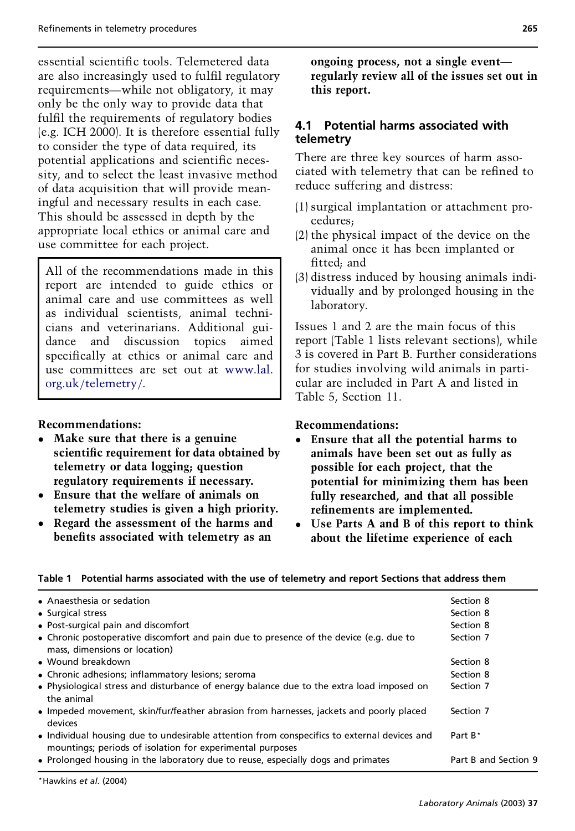essential scientific tools. Telemetered data are also increasingly used to fulfil regulatory requirements—while not obligatory, it may only be the only way to provide data that fulfil the requirements of regulatory bodies (e.g. ICH 2000). It is therefore essential fully to consider the type of data required, its potential applications and scientific necessity, and to select the least invasive method of data acquisition that will provide meaningful and necessary results in each case. This should be assessed in depth by the appropriate local ethics or animal care and use committee for each project.

All of the recommendations made in this report are intended to guide ethics or animal care and use committees as well as individual scientists, animal technicians and veterinarians. Additional guidance and discussion topics aimed specifically at ethics or animal care and use committees are set out at [www.lal.](http://www.lal.org.uk/telemetry/) org.uk/[telemetry](http://www.lal.org.uk/telemetry/)/.

#### **Recommendations:**

- ° **Make sure that there is a genuine scienti c requirement for data obtained by telemetry or data logging; question regulatory requirements if necessary.**
- ° **Ensure that the welfare of animals on telemetry studies is given a high priority.**
- ° **Regard the assessment of the harms and benefits** associated with telemetry as an

**ongoing process, not a single event regularly review all of the issues set out in this report.**

# **4.1 Potential harms associated with telemetry**

There are three key sources of harm associated with telemetry that can be refined to reduce suffering and distress:

- (1) surgical implantation or attachment procedures;
- (2) the physical impact of the device on the animal once it has been implanted or fitted; and
- (3) distress induced by housing animals individually and by prolonged housing in the laboratory.

Issues 1 and 2 are the main focus of this report (Table 1 lists relevant sections), while 3 is covered in Part B. Further considerations for studies involving wild animals in particular are included in Part A and listed in Table 5, Section 11.

#### **Recommendations:**

- ° **Ensure that all the potential harms to animals have been set out as fully as possible for each project, that the potential for minimizing them has been fully researched, and that all possible**  $refinements are implemented.$
- ° **Use Parts A and B of this report to think about the lifetime experience of each**

| • Anaesthesia or sedation                                                                                                                                | Section 8            |
|----------------------------------------------------------------------------------------------------------------------------------------------------------|----------------------|
| • Surgical stress                                                                                                                                        | Section 8            |
| • Post-surgical pain and discomfort                                                                                                                      | Section 8            |
| • Chronic postoperative discomfort and pain due to presence of the device (e.g. due to<br>mass, dimensions or location)                                  | Section 7            |
| • Wound breakdown                                                                                                                                        | Section 8            |
| • Chronic adhesions; inflammatory lesions; seroma                                                                                                        | Section 8            |
| • Physiological stress and disturbance of energy balance due to the extra load imposed on<br>the animal                                                  | Section 7            |
| • Impeded movement, skin/fur/feather abrasion from harnesses, jackets and poorly placed<br>devices                                                       | Section 7            |
| • Individual housing due to undesirable attention from conspecifics to external devices and<br>mountings; periods of isolation for experimental purposes | Part B <sup>*</sup>  |
| • Prolonged housing in the laboratory due to reuse, especially dogs and primates                                                                         | Part B and Section 9 |

#### **Table 1 Potential harms associated with the use of telemetry and report Sections that address them**

\*Hawkins *et al*. (2004)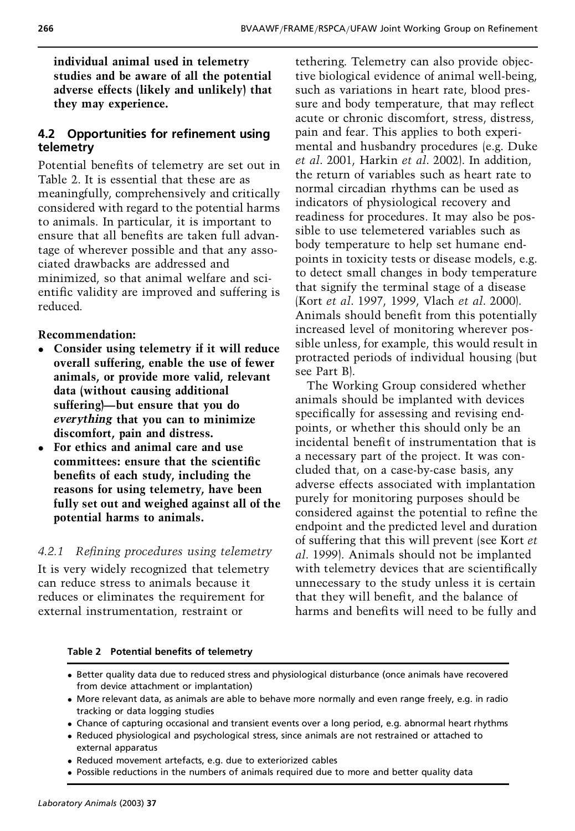**individual animal used in telemetry studies and be aware of all the potential adverse effects (likely and unlikely) that they may experience.**

# **4.2 Opportunities for renement using telemetry**

Potential benefits of telemetry are set out in Table 2. It is essential that these are as meaningfully, comprehensively and critically considered with regard to the potential harms to animals. In particular, it is important to ensure that all benefits are taken full advantage of wherever possible and that any associated drawbacks are addressed and minimized, so that animal welfare and scientific validity are improved and suffering is reduced.

## **Recommendation:**

- ° **Consider using telemetry if it will reduce overall suffering, enable the use of fewer animals, or provide more valid, relevant data (without causing additional suffering)—but ensure that you do** *everything* **that you can to minimize discomfort, pain and distress.**
- ° **For ethics and animal care and use committees:** ensure that the scientific **benefits** of each study, including the **reasons for using telemetry, have been fully set out and weighed against all of the potential harms to animals.**

# *4.2.1 Rening procedures using telemetry*

It is very widely recognized that telemetry can reduce stress to animals because it reduces or eliminates the requirement for external instrumentation, restraint or

tethering. Telemetry can also provide objective biological evidence of animal well-being, such as variations in heart rate, blood pressure and body temperature, that may reflect acute or chronic discomfort, stress, distress, pain and fear. This applies to both experimental and husbandry procedures (e.g. Duke *et al*. 2001, Harkin *et al*. 2002). In addition, the return of variables such as heart rate to normal circadian rhythms can be used as indicators of physiological recovery and readiness for procedures. It may also be possible to use telemetered variables such as body temperature to help set humane endpoints in toxicity tests or disease models, e.g. to detect small changes in body temperature that signify the terminal stage of a disease (Kort *et al*. 1997, 1999, Vlach *et al*. 2000). Animals should benefit from this potentially increased level of monitoring wherever possible unless, for example, this would result in protracted periods of individual housing (but see Part B).

The Working Group considered whether animals should be implanted with devices specifically for assessing and revising endpoints, or whether this should only be an incidental benefit of instrumentation that is a necessary part of the project. It was concluded that, on a case-by-case basis, any adverse effects associated with implantation purely for monitoring purposes should be considered against the potential to refine the endpoint and the predicted level and duration of suffering that this will prevent (see Kort *et al*. 1999). Animals should not be implanted with telemetry devices that are scientifically unnecessary to the study unless it is certain that they will benefit, and the balance of harms and benefits will need to be fully and

#### **Table 2 Potential bene ts of telemetry**

- ° Better quality data due to reduced stress and physiological disturbance (once animals have recovered from device attachment or implantation)
- ° More relevant data, as animals are able to behave more normally and even range freely, e.g. in radio tracking or data logging studies
- ° Chance of capturing occasional and transient events over a long period, e.g. abnormal heart rhythms
- ° Reduced physiological and psychological stress, since animals are not restrained or attached to external apparatus
- ° Reduced movement artefacts, e.g. due to exteriorized cables
- ° Possible reductions in the numbers of animals required due to more and better quality data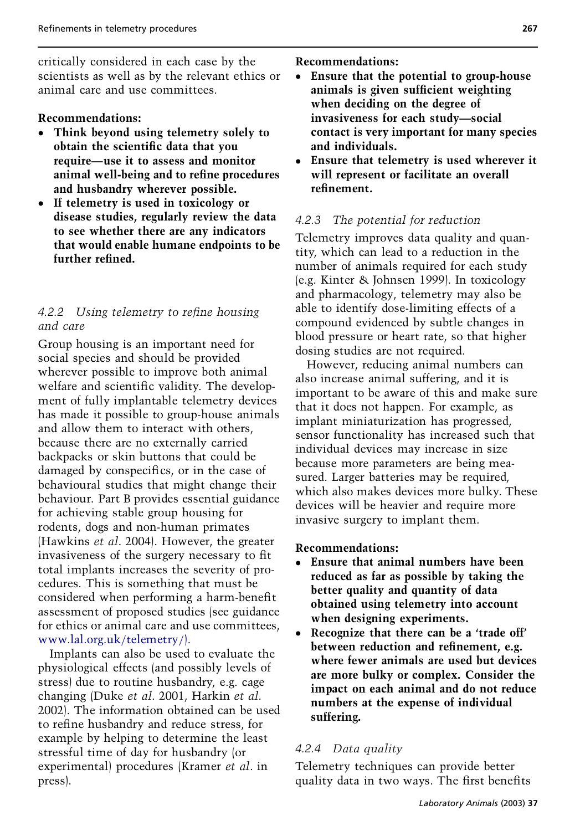critically considered in each case by the scientists as well as by the relevant ethics or animal care and use committees.

#### **Recommendations:**

- ° **Think beyond using telemetry solely to obtain the scienti c data that you require—use it to assess and monitor animal well-being and to rene procedures and husbandry wherever possible.**
- ° **If telemetry is used in toxicology or disease studies, regularly review the data to see whether there are any indicators that would enable humane endpoints to be** further refined.

# *4.2.2 Using telemetry to rene housing and care*

Group housing is an important need for social species and should be provided wherever possible to improve both animal welfare and scientific validity. The development of fully implantable telemetry devices has made it possible to group-house animals and allow them to interact with others, because there are no externally carried backpacks or skin buttons that could be damaged by conspecifics, or in the case of behavioural studies that might change their behaviour. Part B provides essential guidance for achieving stable group housing for rodents, dogs and non-human primates (Hawkins *et al*. 2004). However, the greater invasiveness of the surgery necessary to fit total implants increases the severity of procedures. This is something that must be considered when performing a harm-benefit assessment of proposed studies (see guidance for ethics or animal care and use committees, [www.lal.org.uk](http://www.lal.org.uk/telemetry/)/telemetry/).

Implants can also be used to evaluate the physiological effects (and possibly levels of stress) due to routine husbandry, e.g. cage changing (Duke *et al*. 2001, Harkin *et al*. 2002). The information obtained can be used to refine husbandry and reduce stress, for example by helping to determine the least stressful time of day for husbandry (or experimental) procedures (Kramer *et al*. in press).

**Recommendations:**

- ° **Ensure that the potential to group-house animals** is given sufficient weighting **when deciding on the degree of invasiveness for each study—social contact is very important for many species and individuals.**
- ° **Ensure that telemetry is used wherever it will represent or facilitate an overall renement.**

# *4.2.3 The potential for reduction*

Telemetry improves data quality and quantity, which can lead to a reduction in the number of animals required for each study (e.g. Kinter & Johnsen 1999). In toxicology and pharmacology, telemetry may also be able to identify dose-limiting effects of a compound evidenced by subtle changes in blood pressure or heart rate, so that higher dosing studies are not required.

However, reducing animal numbers can also increase animal suffering, and it is important to be aware of this and make sure that it does not happen. For example, as implant miniaturization has progressed, sensor functionality has increased such that individual devices may increase in size because more parameters are being measured. Larger batteries may be required, which also makes devices more bulky. These devices will be heavier and require more invasive surgery to implant them.

#### **Recommendations:**

- ° **Ensure that animal numbers have been reduced as far as possible by taking the better quality and quantity of data obtained using telemetry into account when designing experiments.**
- ° **Recognize that there can be a 'trade off' between reduction and renement, e.g. where fewer animals are used but devices are more bulky or complex. Consider the impact on each animal and do not reduce numbers at the expense of individual suffering.**

## *4.2.4 Data quality*

Telemetry techniques can provide better quality data in two ways. The first benefits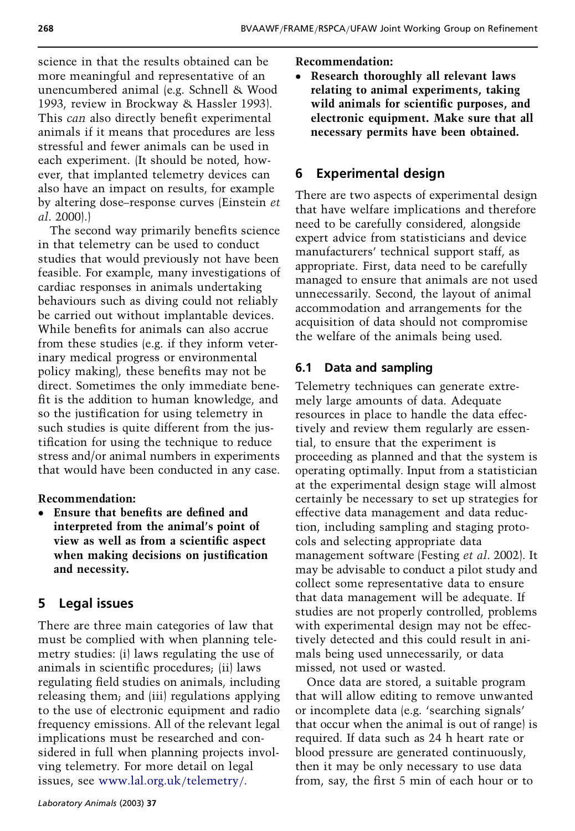**•** Ensure that benefits are defined and **interpreted from the animal's point of view as well as from a scienti c aspect when making decisions on justication**

metry studies: (i) laws regulating the use of animals in scientific procedures; (ii) laws regulating field studies on animals, including releasing them; and (iii) regulations applying to the use of electronic equipment and radio frequency emissions. All of the relevant legal implications must be researched and considered in full when planning projects involving telemetry. For more detail on legal issues, see [www.lal.org.uk](http://www.lal.org.uk/telemetry/)/telemetry/.

There are three main categories of law that must be complied with when planning tele-

#### **Recommendation:**

° **Research thoroughly all relevant laws relating to animal experiments, taking wild animals for scienti c purposes, and electronic equipment. Make sure that all necessary permits have been obtained.**

#### **6 Experimental design**

There are two aspects of experimental design that have welfare implications and therefore need to be carefully considered, alongside expert advice from statisticians and device manufacturers' technical support staff, as appropriate. First, data need to be carefully managed to ensure that animals are not used unnecessarily. Second, the layout of animal accommodation and arrangements for the acquisition of data should not compromise the welfare of the animals being used.

#### **6.1 Data and sampling**

Telemetry techniques can generate extremely large amounts of data. Adequate resources in place to handle the data effectively and review them regularly are essential, to ensure that the experiment is proceeding as planned and that the system is operating optimally. Input from a statistician at the experimental design stage will almost certainly be necessary to set up strategies for effective data management and data reduction, including sampling and staging protocols and selecting appropriate data management software (Festing *et al*. 2002). It may be advisable to conduct a pilot study and collect some representative data to ensure that data management will be adequate. If studies are not properly controlled, problems with experimental design may not be effectively detected and this could result in animals being used unnecessarily, or data missed, not used or wasted.

Once data are stored, a suitable program that will allow editing to remove unwanted or incomplete data (e.g. 'searching signals' that occur when the animal is out of range) is required. If data such as 24 h heart rate or blood pressure are generated continuously, then it may be only necessary to use data from, say, the first 5 min of each hour or to

**Recommendation:**

**and necessity.**

**5 Legal issues**

*al*. 2000).)

science in that the results obtained can be more meaningful and representative of an unencumbered animal (e.g. Schnell & Wood 1993, review in Brockway & Hassler 1993). This *can* also directly benefit experimental animals if it means that procedures are less stressful and fewer animals can be used in each experiment. (It should be noted, however, that implanted telemetry devices can also have an impact on results, for example by altering dose–response curves (Einstein *et*

The second way primarily benefits science in that telemetry can be used to conduct studies that would previously not have been feasible. For example, many investigations of cardiac responses in animals undertaking behaviours such as diving could not reliably be carried out without implantable devices. While benefits for animals can also accrue from these studies (e.g. if they inform veterinary medical progress or environmental policy making), these benefits may not be direct. Sometimes the only immediate bene fit is the addition to human knowledge, and so the justification for using telemetry in such studies is quite different from the justification for using the technique to reduce stress and/or animal numbers in experiments that would have been conducted in any case.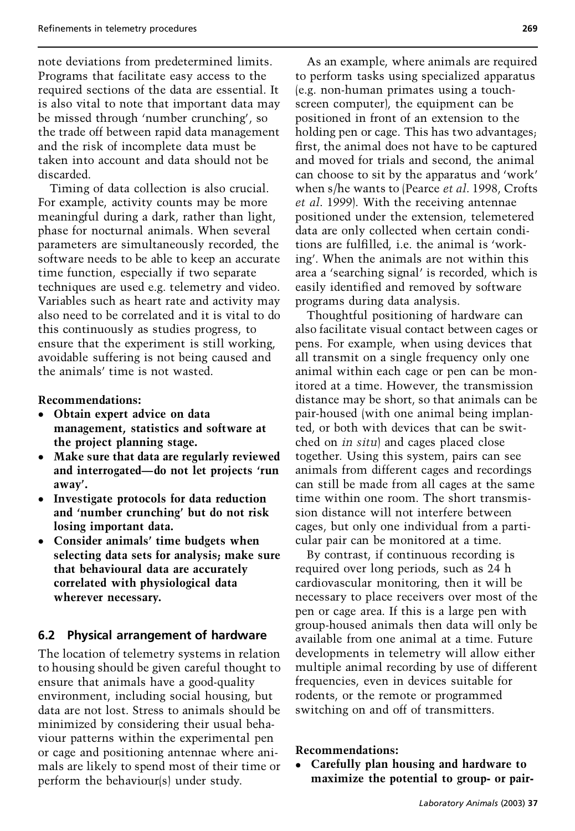note deviations from predetermined limits. Programs that facilitate easy access to the required sections of the data are essential. It is also vital to note that important data may be missed through 'number crunching', so the trade off between rapid data management and the risk of incomplete data must be taken into account and data should not be discarded.

Timing of data collection is also crucial. For example, activity counts may be more meaningful during a dark, rather than light, phase for nocturnal animals. When several parameters are simultaneously recorded, the software needs to be able to keep an accurate time function, especially if two separate techniques are used e.g. telemetry and video. Variables such as heart rate and activity may also need to be correlated and it is vital to do this continuously as studies progress, to ensure that the experiment is still working, avoidable suffering is not being caused and the animals' time is not wasted.

#### **Recommendations:**

- ° **Obtain expert advice on data management, statistics and software at the project planning stage.**
- ° **Make sure that data are regularly reviewed and interrogated—do not let projects 'run away'.**
- ° **Investigate protocols for data reduction and 'number crunching' but do not risk losing important data.**
- ° **Consider animals' time budgets when selecting data sets for analysis; make sure that behavioural data are accurately correlated with physiological data wherever necessary.**

## **6.2 Physical arrangement of hardware**

The location of telemetry systems in relation to housing should be given careful thought to ensure that animals have a good-quality environment, including social housing, but data are not lost. Stress to animals should be minimized by considering their usual behaviour patterns within the experimental pen or cage and positioning antennae where animals are likely to spend most of their time or perform the behaviour(s) under study.

As an example, where animals are required to perform tasks using specialized apparatus (e.g. non-human primates using a touchscreen computer), the equipment can be positioned in front of an extension to the holding pen or cage. This has two advantages; first, the animal does not have to be captured and moved for trials and second, the animal can choose to sit by the apparatus and 'work' when s/he wants to (Pearce *et al*. 1998, Crofts *et al*. 1999). With the receiving antennae positioned under the extension, telemetered data are only collected when certain conditions are fulfilled, i.e. the animal is 'working'. When the animals are not within this area a 'searching signal' is recorded, which is easily identified and removed by software programs during data analysis.

Thoughtful positioning of hardware can also facilitate visual contact between cages or pens. For example, when using devices that all transmit on a single frequency only one animal within each cage or pen can be monitored at a time. However, the transmission distance may be short, so that animals can be pair-housed (with one animal being implanted, or both with devices that can be switched on *in situ*) and cages placed close together. Using this system, pairs can see animals from different cages and recordings can still be made from all cages at the same time within one room. The short transmission distance will not interfere between cages, but only one individual from a particular pair can be monitored at a time.

By contrast, if continuous recording is required over long periods, such as 24 h cardiovascular monitoring, then it will be necessary to place receivers over most of the pen or cage area. If this is a large pen with group-housed animals then data will only be available from one animal at a time. Future developments in telemetry will allow either multiple animal recording by use of different frequencies, even in devices suitable for rodents, or the remote or programmed switching on and off of transmitters.

#### **Recommendations:**

° **Carefully plan housing and hardware to maximize the potential to group- or pair-**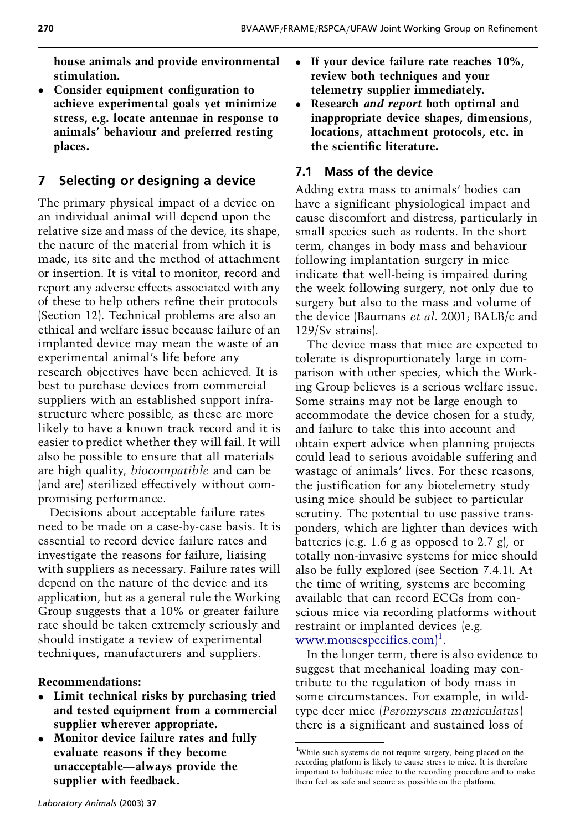**house animals and provide environmental stimulation.**

° **Consider equipment con guration to achieve experimental goals yet minimize stress, e.g. locate antennae in response to animals' behaviour and preferred resting places.**

# **7 Selecting or designing a device**

The primary physical impact of a device on an individual animal will depend upon the relative size and mass of the device, its shape, the nature of the material from which it is made, its site and the method of attachment or insertion. It is vital to monitor, record and report any adverse effects associated with any of these to help others refine their protocols (Section 12). Technical problems are also an ethical and welfare issue because failure of an implanted device may mean the waste of an experimental animal's life before any research objectives have been achieved. It is best to purchase devices from commercial suppliers with an established support infrastructure where possible, as these are more likely to have a known track record and it is easier to predict whether they will fail. It will also be possible to ensure that all materials are high quality, *biocompatible* and can be (and are) sterilized effectively without compromising performance.

Decisions about acceptable failure rates need to be made on a case-by-case basis. It is essential to record device failure rates and investigate the reasons for failure, liaising with suppliers as necessary. Failure rates will depend on the nature of the device and its application, but as a general rule the Working Group suggests that a 10% or greater failure rate should be taken extremely seriously and should instigate a review of experimental techniques, manufacturers and suppliers.

#### **Recommendations:**

- ° **Limit technical risks by purchasing tried and tested equipment from a commercial supplier wherever appropriate.**
- ° **Monitor device failure rates and fully evaluate reasons if they become unacceptable—always provide the supplier with feedback.**
- ° **If your device failure rate reaches 10%, review both techniques and your telemetry supplier immediately.**
- ° **Research** *and report* **both optimal and inappropriate device shapes, dimensions, locations, attachment protocols, etc. in the** scientific literature.

# **7.1 Mass of the device**

Adding extra mass to animals' bodies can have a significant physiological impact and cause discomfort and distress, particularly in small species such as rodents. In the short term, changes in body mass and behaviour following implantation surgery in mice indicate that well-being is impaired during the week following surgery, not only due to surgery but also to the mass and volume of the device (Baumans *et al*. 2001; BALB/c and 129/Sv strains).

The device mass that mice are expected to tolerate is disproportionately large in comparison with other species, which the Working Group believes is a serious welfare issue. Some strains may not be large enough to accommodate the device chosen for a study, and failure to take this into account and obtain expert advice when planning projects could lead to serious avoidable suffering and wastage of animals' lives. For these reasons, the justification for any biotelemetry study using mice should be subject to particular scrutiny. The potential to use passive transponders, which are lighter than devices with batteries (e.g. 1.6 g as opposed to 2.7 g), or totally non-invasive systems for mice should also be fully explored (see Section 7.4.1). At the time of writing, systems are becoming available that can record ECGs from conscious mice via recording platforms without restraint or implanted devices (e.g.  $www.mousespecifics.com$  $www.mousespecifics.com$ <sup>1</sup>.

In the longer term, there is also evidence to suggest that mechanical loading may contribute to the regulation of body mass in some circumstances. For example, in wildtype deer mice (*Peromyscus maniculatus*) there is a significant and sustained loss of

<sup>&</sup>lt;sup>1</sup>While such systems do not require surgery, being placed on the recording platform is likely to cause stress to mice. It is therefore important to habituate mice to the recording procedure and to make them feel as safe and secure as possible on the platform.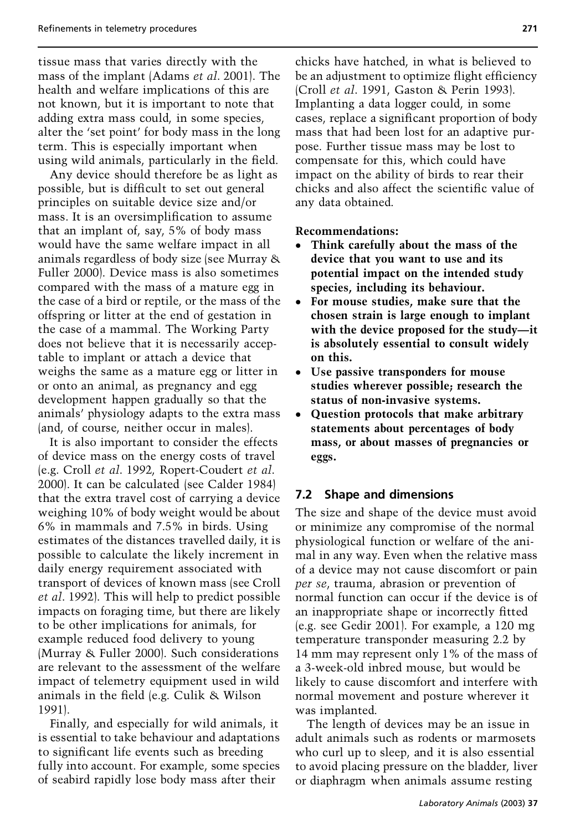tissue mass that varies directly with the mass of the implant (Adams *et al*. 2001). The health and welfare implications of this are not known, but it is important to note that adding extra mass could, in some species, alter the 'set point' for body mass in the long term. This is especially important when using wild animals, particularly in the field.

Any device should therefore be as light as possible, but is difficult to set out general principles on suitable device size and/or mass. It is an oversimplification to assume that an implant of, say, 5% of body mass would have the same welfare impact in all animals regardless of body size (see Murray & Fuller 2000). Device mass is also sometimes compared with the mass of a mature egg in the case of a bird or reptile, or the mass of the offspring or litter at the end of gestation in the case of a mammal. The Working Party does not believe that it is necessarily acceptable to implant or attach a device that weighs the same as a mature egg or litter in or onto an animal, as pregnancy and egg development happen gradually so that the animals' physiology adapts to the extra mass (and, of course, neither occur in males).

It is also important to consider the effects of device mass on the energy costs of travel (e.g. Croll *et al*. 1992, Ropert-Coudert *et al*. 2000). It can be calculated (see Calder 1984) that the extra travel cost of carrying a device  $\overline{7.2}$ weighing 10% of body weight would be about 6% in mammals and 7.5% in birds. Using estimates of the distances travelled daily, it is possible to calculate the likely increment in daily energy requirement associated with transport of devices of known mass (see Croll *et al*. 1992). This will help to predict possible impacts on foraging time, but there are likely to be other implications for animals, for example reduced food delivery to young (Murray & Fuller 2000). Such considerations are relevant to the assessment of the welfare impact of telemetry equipment used in wild animals in the field (e.g. Culik & Wilson 1991).

Finally, and especially for wild animals, it is essential to take behaviour and adaptations to significant life events such as breeding fully into account. For example, some species of seabird rapidly lose body mass after their

chicks have hatched, in what is believed to be an adjustment to optimize flight efficiency (Croll *et al*. 1991, Gaston & Perin 1993). Implanting a data logger could, in some cases, replace a significant proportion of body mass that had been lost for an adaptive purpose. Further tissue mass may be lost to compensate for this, which could have impact on the ability of birds to rear their chicks and also affect the scientific value of any data obtained.

#### **Recommendations:**

- ° **Think carefully about the mass of the device that you want to use and its potential impact on the intended study species, including its behaviour.**
- ° **For mouse studies, make sure that the chosen strain is large enough to implant with the device proposed for the study—it is absolutely essential to consult widely on this.**
- ° **Use passive transponders for mouse studies wherever possible; research the status of non-invasive systems.**
- ° **Question protocols that make arbitrary statements about percentages of body mass, or about masses of pregnancies or eggs.**

#### **7.2 Shape and dimensions**

The size and shape of the device must avoid or minimize any compromise of the normal physiological function or welfare of the animal in any way. Even when the relative mass of a device may not cause discomfort or pain *per se*, trauma, abrasion or prevention of normal function can occur if the device is of an inappropriate shape or incorrectly fitted (e.g. see Gedir 2001). For example, a 120 mg temperature transponder measuring 2.2 by 14 mm may represent only 1% of the mass of a 3-week-old inbred mouse, but would be likely to cause discomfort and interfere with normal movement and posture wherever it was implanted.

The length of devices may be an issue in adult animals such as rodents or marmosets who curl up to sleep, and it is also essential to avoid placing pressure on the bladder, liver or diaphragm when animals assume resting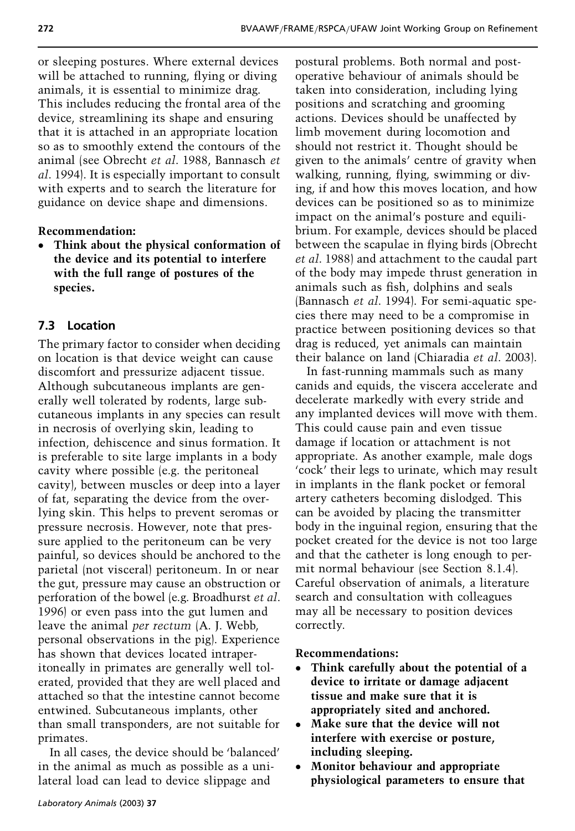or sleeping postures. Where external devices will be attached to running, flying or diving animals, it is essential to minimize drag. This includes reducing the frontal area of the device, streamlining its shape and ensuring that it is attached in an appropriate location so as to smoothly extend the contours of the animal (see Obrecht *et al*. 1988, Bannasch *et al*. 1994). It is especially important to consult with experts and to search the literature for guidance on device shape and dimensions.

#### **Recommendation:**

° **Think about the physical conformation of the device and its potential to interfere with the full range of postures of the species.**

#### **7.3 Location**

The primary factor to consider when deciding on location is that device weight can cause discomfort and pressurize adjacent tissue. Although subcutaneous implants are generally well tolerated by rodents, large subcutaneous implants in any species can result in necrosis of overlying skin, leading to infection, dehiscence and sinus formation. It is preferable to site large implants in a body cavity where possible (e.g. the peritoneal cavity), between muscles or deep into a layer of fat, separating the device from the overlying skin. This helps to prevent seromas or pressure necrosis. However, note that pressure applied to the peritoneum can be very painful, so devices should be anchored to the parietal (not visceral) peritoneum. In or near the gut, pressure may cause an obstruction or perforation of the bowel (e.g. Broadhurst *et al*. 1996) or even pass into the gut lumen and leave the animal *per rectum* (A. J. Webb, personal observations in the pig). Experience has shown that devices located intraperitoneally in primates are generally well tolerated, provided that they are well placed and attached so that the intestine cannot become entwined. Subcutaneous implants, other than small transponders, are not suitable for primates.

In all cases, the device should be 'balanced' in the animal as much as possible as a unilateral load can lead to device slippage and

postural problems. Both normal and postoperative behaviour of animals should be taken into consideration, including lying positions and scratching and grooming actions. Devices should be unaffected by limb movement during locomotion and should not restrict it. Thought should be given to the animals' centre of gravity when walking, running, flying, swimming or diving, if and how this moves location, and how devices can be positioned so as to minimize impact on the animal's posture and equilibrium. For example, devices should be placed between the scapulae in flying birds (Obrecht *et al*. 1988) and attachment to the caudal part of the body may impede thrust generation in animals such as fish, dolphins and seals (Bannasch *et al*. 1994). For semi-aquatic species there may need to be a compromise in practice between positioning devices so that drag is reduced, yet animals can maintain their balance on land (Chiaradia *et al*. 2003).

In fast-running mammals such as many canids and equids, the viscera accelerate and decelerate markedly with every stride and any implanted devices will move with them. This could cause pain and even tissue damage if location or attachment is not appropriate. As another example, male dogs 'cock' their legs to urinate, which may result in implants in the flank pocket or femoral artery catheters becoming dislodged. This can be avoided by placing the transmitter body in the inguinal region, ensuring that the pocket created for the device is not too large and that the catheter is long enough to permit normal behaviour (see Section 8.1.4). Careful observation of animals, a literature search and consultation with colleagues may all be necessary to position devices correctly.

#### **Recommendations:**

- ° **Think carefully about the potential of a device to irritate or damage adjacent tissue and make sure that it is appropriately sited and anchored.**
- ° **Make sure that the device will not interfere with exercise or posture, including sleeping.**
- ° **Monitor behaviour and appropriate physiological parameters to ensure that**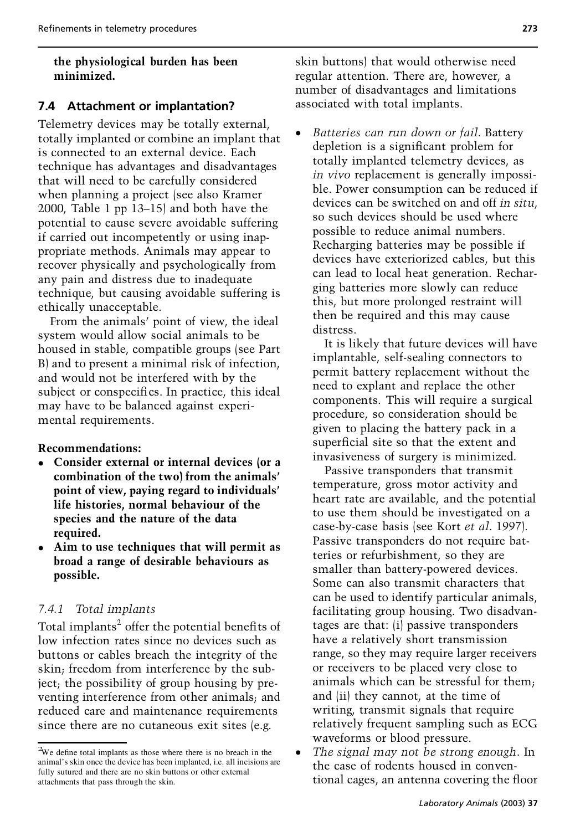**the physiological burden has been minimized.**

# **7.4 Attachment or implantation?**

Telemetry devices may be totally external, totally implanted or combine an implant that is connected to an external device. Each technique has advantages and disadvantages that will need to be carefully considered when planning a project (see also Kramer 2000, Table 1 pp 13–15) and both have the potential to cause severe avoidable suffering if carried out incompetently or using inappropriate methods. Animals may appear to recover physically and psychologically from any pain and distress due to inadequate technique, but causing avoidable suffering is ethically unacceptable.

From the animals' point of view, the ideal system would allow social animals to be housed in stable, compatible groups (see Part B) and to present a minimal risk of infection, and would not be interfered with by the subject or conspecifics. In practice, this ideal may have to be balanced against experimental requirements.

**Recommendations:**

- ° **Consider external or internal devices (or a combination of the two) from the animals' point of view, paying regard to individuals' life histories, normal behaviour of the species and the nature of the data required.**
- ° **Aim to use techniques that will permit as broad a range of desirable behaviours as possible.**

## *7.4.1 Total implants*

Total implants<sup>2</sup> offer the potential benefits of low infection rates since no devices such as buttons or cables breach the integrity of the skin; freedom from interference by the subject; the possibility of group housing by preventing interference from other animals; and reduced care and maintenance requirements since there are no cutaneous exit sites (e.g.

skin buttons) that would otherwise need regular attention. There are, however, a number of disadvantages and limitations associated with total implants.

° *Batteries can run down or fail*. Battery depletion is a significant problem for totally implanted telemetry devices, as *in vivo* replacement is generally impossible. Power consumption can be reduced if devices can be switched on and off *in situ*, so such devices should be used where possible to reduce animal numbers. Recharging batteries may be possible if devices have exteriorized cables, but this can lead to local heat generation. Recharging batteries more slowly can reduce this, but more prolonged restraint will then be required and this may cause distress.

It is likely that future devices will have implantable, self-sealing connectors to permit battery replacement without the need to explant and replace the other components. This will require a surgical procedure, so consideration should be given to placing the battery pack in a superficial site so that the extent and invasiveness of surgery is minimized.

Passive transponders that transmit temperature, gross motor activity and heart rate are available, and the potential to use them should be investigated on a case-by-case basis (see Kort *et al*. 1997). Passive transponders do not require batteries or refurbishment, so they are smaller than battery-powered devices. Some can also transmit characters that can be used to identify particular animals, facilitating group housing. Two disadvantages are that: (i) passive transponders have a relatively short transmission range, so they may require larger receivers or receivers to be placed very close to animals which can be stressful for them; and (ii) they cannot, at the time of writing, transmit signals that require relatively frequent sampling such as ECG waveforms or blood pressure.

° *The signal may not be strong enough*. In the case of rodents housed in conventional cages, an antenna covering the floor

 $2$ We define total implants as those where there is no breach in the animal's skin once the device has been implanted, i.e. all incisions are fully sutured and there are no skin buttons or other external attachments that pass through the skin.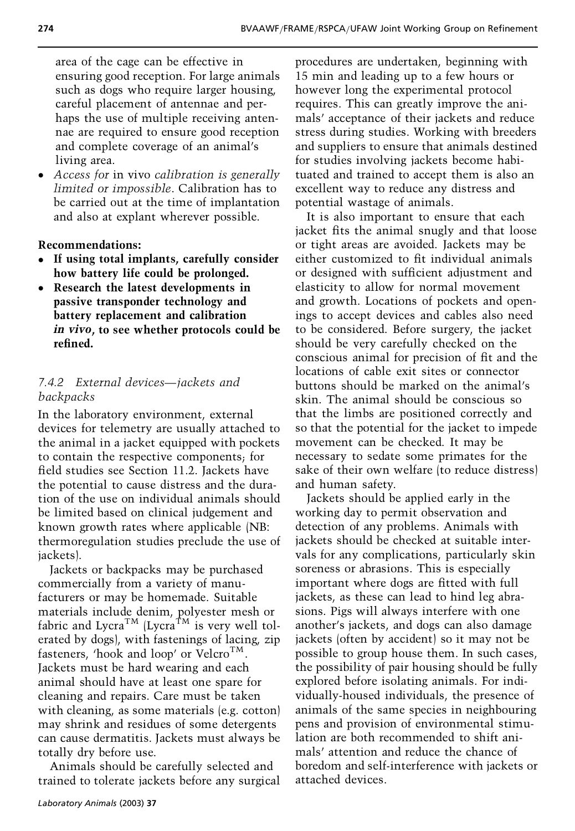area of the cage can be effective in ensuring good reception. For large animals such as dogs who require larger housing, careful placement of antennae and perhaps the use of multiple receiving antennae are required to ensure good reception and complete coverage of an animal's living area.

° *Access for* in vivo *calibration is generally limited or impossible*. Calibration has to be carried out at the time of implantation and also at explant wherever possible.

#### **Recommendations:**

- ° **If using total implants, carefully consider how battery life could be prolonged.**
- ° **Research the latest developments in passive transponder technology and battery replacement and calibration** *in vivo***, to see whether protocols could be** refined.

# *7.4.2 External devices—jackets and backpacks*

In the laboratory environment, external devices for telemetry are usually attached to the animal in a jacket equipped with pockets to contain the respective components; for field studies see Section 11.2. Jackets have the potential to cause distress and the duration of the use on individual animals should be limited based on clinical judgement and known growth rates where applicable (NB: thermoregulation studies preclude the use of jackets).

Jackets or backpacks may be purchased commercially from a variety of manufacturers or may be homemade. Suitable materials include denim, polyester mesh or fabric and Lycra<sup>TM</sup> (Lycra<sup>TM</sup> is very well tolerated by dogs), with fastenings of lacing, zip fasteners, 'hook and loop' or Velcro<sup>TM</sup>. Jackets must be hard wearing and each animal should have at least one spare for cleaning and repairs. Care must be taken with cleaning, as some materials (e.g. cotton) may shrink and residues of some detergents can cause dermatitis. Jackets must always be totally dry before use.

Animals should be carefully selected and trained to tolerate jackets before any surgical procedures are undertaken, beginning with 15 min and leading up to a few hours or however long the experimental protocol requires. This can greatly improve the animals' acceptance of their jackets and reduce stress during studies. Working with breeders and suppliers to ensure that animals destined for studies involving jackets become habituated and trained to accept them is also an excellent way to reduce any distress and potential wastage of animals.

It is also important to ensure that each jacket fits the animal snugly and that loose or tight areas are avoided. Jackets may be either customized to fit individual animals or designed with sufficient adjustment and elasticity to allow for normal movement and growth. Locations of pockets and openings to accept devices and cables also need to be considered. Before surgery, the jacket should be very carefully checked on the conscious animal for precision of fit and the locations of cable exit sites or connector buttons should be marked on the animal's skin. The animal should be conscious so that the limbs are positioned correctly and so that the potential for the jacket to impede movement can be checked. It may be necessary to sedate some primates for the sake of their own welfare (to reduce distress) and human safety.

Jackets should be applied early in the working day to permit observation and detection of any problems. Animals with jackets should be checked at suitable intervals for any complications, particularly skin soreness or abrasions. This is especially important where dogs are fitted with full jackets, as these can lead to hind leg abrasions. Pigs will always interfere with one another's jackets, and dogs can also damage jackets (often by accident) so it may not be possible to group house them. In such cases, the possibility of pair housing should be fully explored before isolating animals. For individually-housed individuals, the presence of animals of the same species in neighbouring pens and provision of environmental stimulation are both recommended to shift animals' attention and reduce the chance of boredom and self-interference with jackets or attached devices.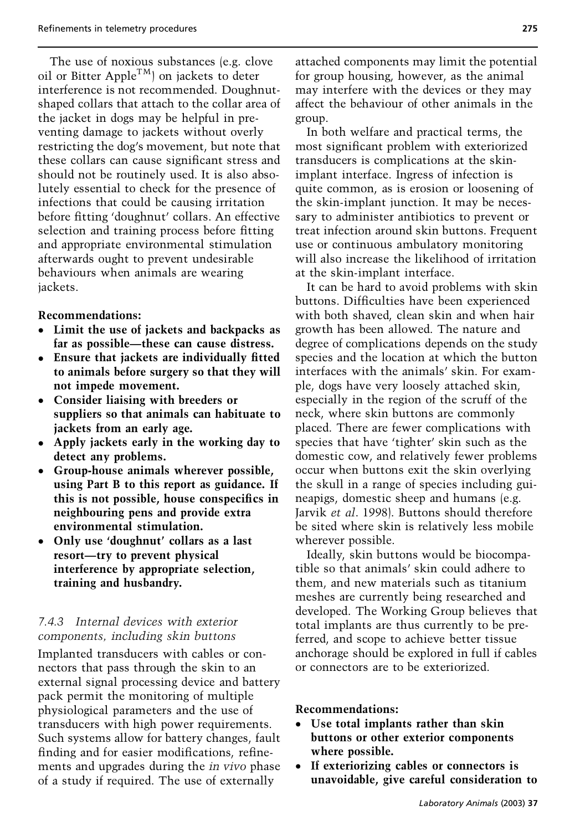The use of noxious substances (e.g. clove oil or Bitter Apple<sup>TM</sup>) on jackets to deter interference is not recommended. Doughnutshaped collars that attach to the collar area of the jacket in dogs may be helpful in preventing damage to jackets without overly restricting the dog's movement, but note that these collars can cause significant stress and should not be routinely used. It is also absolutely essential to check for the presence of infections that could be causing irritation before fitting 'doughnut' collars. An effective selection and training process before fitting and appropriate environmental stimulation afterwards ought to prevent undesirable behaviours when animals are wearing jackets.

#### **Recommendations:**

- ° **Limit the use of jackets and backpacks as far as possible—these can cause distress.**
- ° **Ensure that jackets are individually tted to animals before surgery so that they will not impede movement.**
- ° **Consider liaising with breeders or suppliers so that animals can habituate to jackets from an early age.**
- ° **Apply jackets early in the working day to detect any problems.**
- ° **Group-house animals wherever possible, using Part B to this report as guidance. If this** is not possible, house conspecifics in **neighbouring pens and provide extra environmental stimulation.**
- ° **Only use 'doughnut' collars as a last resort—try to prevent physical interference by appropriate selection, training and husbandry.**

# *7.4.3 Internal devices with exterior components, including skin buttons*

Implanted transducers with cables or connectors that pass through the skin to an external signal processing device and battery pack permit the monitoring of multiple physiological parameters and the use of transducers with high power requirements. Such systems allow for battery changes, fault finding and for easier modifications, refinements and upgrades during the *in vivo* phase of a study if required. The use of externally

attached components may limit the potential for group housing, however, as the animal may interfere with the devices or they may affect the behaviour of other animals in the group.

In both welfare and practical terms, the most significant problem with exteriorized transducers is complications at the skinimplant interface. Ingress of infection is quite common, as is erosion or loosening of the skin-implant junction. It may be necessary to administer antibiotics to prevent or treat infection around skin buttons. Frequent use or continuous ambulatory monitoring will also increase the likelihood of irritation at the skin-implant interface.

It can be hard to avoid problems with skin buttons. Difficulties have been experienced with both shaved, clean skin and when hair growth has been allowed. The nature and degree of complications depends on the study species and the location at which the button interfaces with the animals' skin. For example, dogs have very loosely attached skin, especially in the region of the scruff of the neck, where skin buttons are commonly placed. There are fewer complications with species that have 'tighter' skin such as the domestic cow, and relatively fewer problems occur when buttons exit the skin overlying the skull in a range of species including guineapigs, domestic sheep and humans (e.g. Jarvik *et al*. 1998). Buttons should therefore be sited where skin is relatively less mobile wherever possible.

Ideally, skin buttons would be biocompatible so that animals' skin could adhere to them, and new materials such as titanium meshes are currently being researched and developed. The Working Group believes that total implants are thus currently to be preferred, and scope to achieve better tissue anchorage should be explored in full if cables or connectors are to be exteriorized.

#### **Recommendations:**

- ° **Use total implants rather than skin buttons or other exterior components where possible.**
- ° **If exteriorizing cables or connectors is unavoidable, give careful consideration to**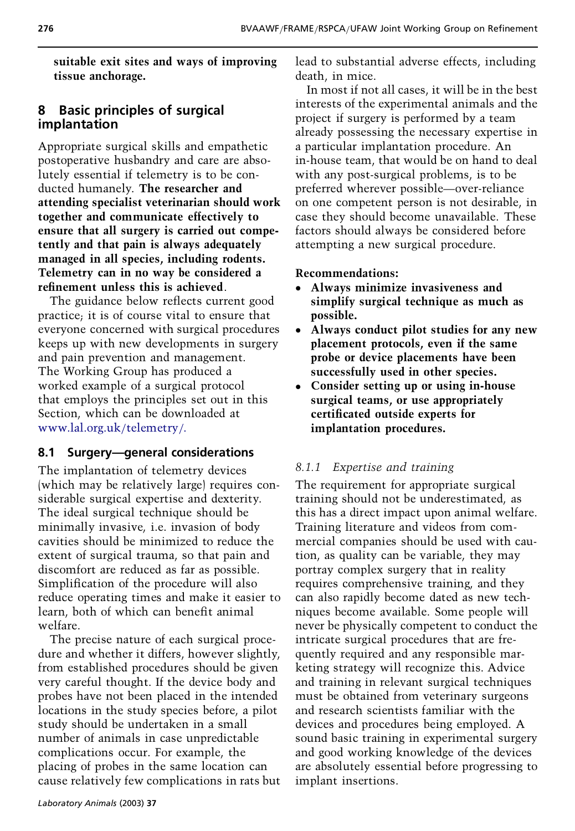**suitable exit sites and ways of improving tissue anchorage.**

# **8 Basic principles of surgical implantation**

Appropriate surgical skills and empathetic postoperative husbandry and care are absolutely essential if telemetry is to be conducted humanely. **The researcher and attending specialist veterinarian should work together and communicate effectively to ensure that all surgery is carried out competently and that pain is always adequately managed in all species, including rodents. Telemetry can in no way be considered a**  $refinement$  **unless** this is achieved.

The guidance below reflects current good practice; it is of course vital to ensure that everyone concerned with surgical procedures keeps up with new developments in surgery and pain prevention and management. The Working Group has produced a worked example of a surgical protocol that employs the principles set out in this Section, which can be downloaded at [www.lal.org.uk](http://www.lal.org.uk/telemetry/)/telemetry/.

## **8.1 Surgery—general considerations**

The implantation of telemetry devices (which may be relatively large) requires considerable surgical expertise and dexterity. The ideal surgical technique should be minimally invasive, i.e. invasion of body cavities should be minimized to reduce the extent of surgical trauma, so that pain and discomfort are reduced as far as possible. Simplification of the procedure will also reduce operating times and make it easier to learn, both of which can benefit animal welfare.

The precise nature of each surgical procedure and whether it differs, however slightly, from established procedures should be given very careful thought. If the device body and probes have not been placed in the intended locations in the study species before, a pilot study should be undertaken in a small number of animals in case unpredictable complications occur. For example, the placing of probes in the same location can cause relatively few complications in rats but lead to substantial adverse effects, including death, in mice.

In most if not all cases, it will be in the best interests of the experimental animals and the project if surgery is performed by a team already possessing the necessary expertise in a particular implantation procedure. An in-house team, that would be on hand to deal with any post-surgical problems, is to be preferred wherever possible—over-reliance on one competent person is not desirable, in case they should become unavailable. These factors should always be considered before attempting a new surgical procedure.

## **Recommendations:**

- ° **Always minimize invasiveness and simplify surgical technique as much as possible.**
- ° **Always conduct pilot studies for any new placement protocols, even if the same probe or device placements have been successfully used in other species.**
- ° **Consider setting up or using in-house surgical teams, or use appropriately certi cated outside experts for implantation procedures.**

## *8.1.1 Expertise and training*

The requirement for appropriate surgical training should not be underestimated, as this has a direct impact upon animal welfare. Training literature and videos from commercial companies should be used with caution, as quality can be variable, they may portray complex surgery that in reality requires comprehensive training, and they can also rapidly become dated as new techniques become available. Some people will never be physically competent to conduct the intricate surgical procedures that are frequently required and any responsible marketing strategy will recognize this. Advice and training in relevant surgical techniques must be obtained from veterinary surgeons and research scientists familiar with the devices and procedures being employed. A sound basic training in experimental surgery and good working knowledge of the devices are absolutely essential before progressing to implant insertions.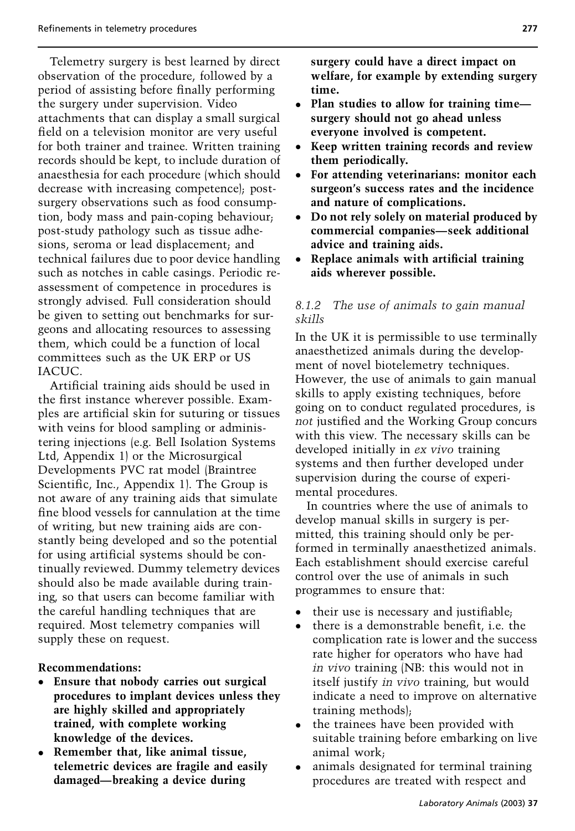Telemetry surgery is best learned by direct observation of the procedure, followed by a period of assisting before finally performing the surgery under supervision. Video attachments that can display a small surgical field on a television monitor are very useful for both trainer and trainee. Written training records should be kept, to include duration of anaesthesia for each procedure (which should decrease with increasing competence); postsurgery observations such as food consumption, body mass and pain-coping behaviour; post-study pathology such as tissue adhesions, seroma or lead displacement; and technical failures due to poor device handling such as notches in cable casings. Periodic reassessment of competence in procedures is strongly advised. Full consideration should be given to setting out benchmarks for surgeons and allocating resources to assessing them, which could be a function of local committees such as the UK ERP or US IACUC.

Artificial training aids should be used in the first instance wherever possible. Examples are artificial skin for suturing or tissues with veins for blood sampling or administering injections (e.g. Bell Isolation Systems Ltd, Appendix 1) or the Microsurgical Developments PVC rat model (Braintree Scientific, Inc., Appendix 1). The Group is not aware of any training aids that simulate fine blood vessels for cannulation at the time of writing, but new training aids are constantly being developed and so the potential for using artificial systems should be continually reviewed. Dummy telemetry devices should also be made available during training, so that users can become familiar with the careful handling techniques that are required. Most telemetry companies will supply these on request.

#### **Recommendations:**

- ° **Ensure that nobody carries out surgical procedures to implant devices unless they are highly skilled and appropriately trained, with complete working knowledge of the devices.**
- ° **Remember that, like animal tissue, telemetric devices are fragile and easily damaged—breaking a device during**

**surgery could have a direct impact on welfare, for example by extending surgery time.**

- ° **Plan studies to allow for training time surgery should not go ahead unless everyone involved is competent.**
- ° **Keep written training records and review them periodically.**
- ° **For attending veterinarians: monitor each surgeon's success rates and the incidence and nature of complications.**
- ° **Do not rely solely on material produced by commercial companies—seek additional advice and training aids.**
- ° **Replace animals with articial training aids wherever possible.**

#### *8.1.2 The use of animals to gain manual skills*

In the UK it is permissible to use terminally anaesthetized animals during the development of novel biotelemetry techniques. However, the use of animals to gain manual skills to apply existing techniques, before going on to conduct regulated procedures, is not justified and the Working Group concurs with this view. The necessary skills can be developed initially in *ex vivo* training systems and then further developed under supervision during the course of experimental procedures.

In countries where the use of animals to develop manual skills in surgery is permitted, this training should only be performed in terminally anaesthetized animals. Each establishment should exercise careful control over the use of animals in such programmes to ensure that:

- their use is necessary and justifiable.
- there is a demonstrable benefit, i.e. the complication rate is lower and the success rate higher for operators who have had *in vivo* training (NB: this would not in itself justify *in vivo* training, but would indicate a need to improve on alternative training methods);
- the trainees have been provided with suitable training before embarking on live animal work;
- animals designated for terminal training procedures are treated with respect and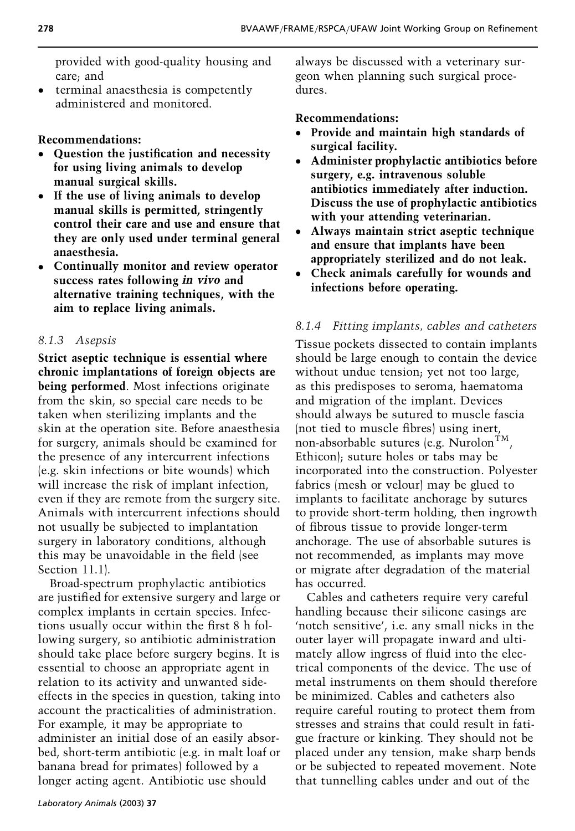provided with good-quality housing and care; and

° terminal anaesthesia is competently administered and monitored.

## **Recommendations:**

- ° **Question the justication and necessity for using living animals to develop manual surgical skills.**
- ° **If the use of living animals to develop manual skills is permitted, stringently control their care and use and ensure that they are only used under terminal general anaesthesia.**
- ° **Continually monitor and review operator success rates following** *in vivo* **and alternative training techniques, with the aim to replace living animals.**

## *8.1.3 Asepsis*

**Strict aseptic technique is essential where chronic implantations of foreign objects are being performed**. Most infections originate from the skin, so special care needs to be taken when sterilizing implants and the skin at the operation site. Before anaesthesia for surgery, animals should be examined for the presence of any intercurrent infections (e.g. skin infections or bite wounds) which will increase the risk of implant infection, even if they are remote from the surgery site. Animals with intercurrent infections should not usually be subjected to implantation surgery in laboratory conditions, although this may be unavoidable in the field (see Section 11.1).

Broad-spectrum prophylactic antibiotics are justified for extensive surgery and large or complex implants in certain species. Infections usually occur within the first 8 h following surgery, so antibiotic administration should take place before surgery begins. It is essential to choose an appropriate agent in relation to its activity and unwanted sideeffects in the species in question, taking into account the practicalities of administration. For example, it may be appropriate to administer an initial dose of an easily absorbed, short-term antibiotic (e.g. in malt loaf or banana bread for primates) followed by a longer acting agent. Antibiotic use should

always be discussed with a veterinary surgeon when planning such surgical procedures.

## **Recommendations:**

- ° **Provide and maintain high standards of surgical facility.**
- ° **Administer prophylactic antibiotics before surgery, e.g. intravenous soluble antibiotics immediately after induction. Discuss the use of prophylactic antibiotics with your attending veterinarian.**
- ° **Always maintain strict aseptic technique and ensure that implants have been appropriately sterilized and do not leak.**
- ° **Check animals carefully for wounds and infections before operating.**

## *8.1.4 Fitting implants, cables and catheters*

Tissue pockets dissected to contain implants should be large enough to contain the device without undue tension; yet not too large, as this predisposes to seroma, haematoma and migration of the implant. Devices should always be sutured to muscle fascia (not tied to muscle fibres) using inert, non-absorbable sutures (e.g. Nurolon<sup>TM</sup> Ethicon); suture holes or tabs may be incorporated into the construction. Polyester fabrics (mesh or velour) may be glued to implants to facilitate anchorage by sutures to provide short-term holding, then ingrowth of fibrous tissue to provide longer-term anchorage. The use of absorbable sutures is not recommended, as implants may move or migrate after degradation of the material has occurred.

Cables and catheters require very careful handling because their silicone casings are 'notch sensitive', i.e. any small nicks in the outer layer will propagate inward and ultimately allow ingress of fluid into the electrical components of the device. The use of metal instruments on them should therefore be minimized. Cables and catheters also require careful routing to protect them from stresses and strains that could result in fatigue fracture or kinking. They should not be placed under any tension, make sharp bends or be subjected to repeated movement. Note that tunnelling cables under and out of the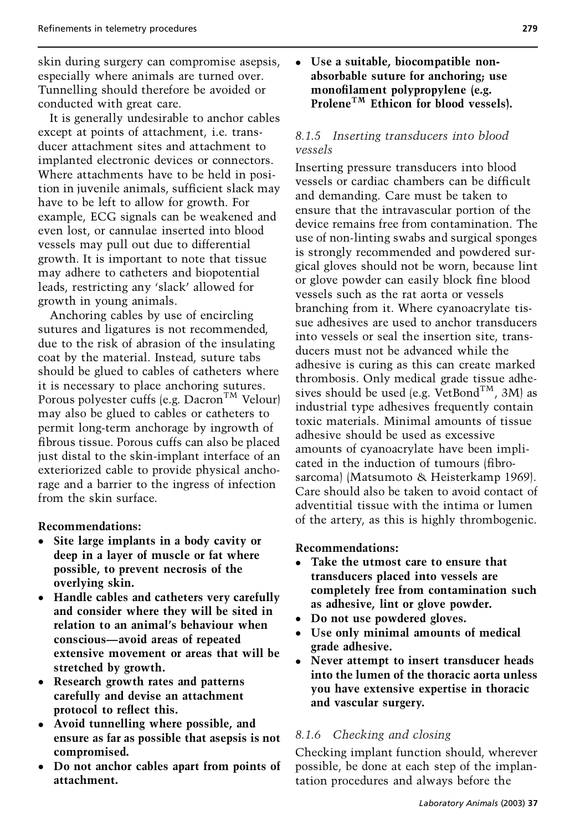skin during surgery can compromise asepsis, especially where animals are turned over. Tunnelling should therefore be avoided or conducted with great care.

It is generally undesirable to anchor cables except at points of attachment, i.e. transducer attachment sites and attachment to implanted electronic devices or connectors. Where attachments have to be held in position in juvenile animals, sufficient slack may have to be left to allow for growth. For example, ECG signals can be weakened and even lost, or cannulae inserted into blood vessels may pull out due to differential growth. It is important to note that tissue may adhere to catheters and biopotential leads, restricting any 'slack' allowed for growth in young animals.

Anchoring cables by use of encircling sutures and ligatures is not recommended, due to the risk of abrasion of the insulating coat by the material. Instead, suture tabs should be glued to cables of catheters where it is necessary to place anchoring sutures. Porous polyester cuffs (e.g.  $Dacron^{TM}$  Velour) may also be glued to cables or catheters to permit long-term anchorage by ingrowth of brous tissue. Porous cuffs can also be placed just distal to the skin-implant interface of an exteriorized cable to provide physical anchorage and a barrier to the ingress of infection from the skin surface.

#### **Recommendations:**

- ° **Site large implants in a body cavity or deep in a layer of muscle or fat where possible, to prevent necrosis of the overlying skin.**
- ° **Handle cables and catheters very carefully and consider where they will be sited in relation to an animal's behaviour when conscious—avoid areas of repeated extensive movement or areas that will be stretched by growth.**
- ° **Research growth rates and patterns carefully and devise an attachment** protocol to reflect this.
- ° **Avoid tunnelling where possible, and ensure as far as possible that asepsis is not compromised.**
- ° **Do not anchor cables apart from points of attachment.**

° **Use a suitable, biocompatible nonabsorbable suture for anchoring; use mono lament polypropylene (e.g. ProleneTM Ethicon for blood vessels).**

## *8.1.5 Inserting transducers into blood vessels*

Inserting pressure transducers into blood vessels or cardiac chambers can be difficult and demanding. Care must be taken to ensure that the intravascular portion of the device remains free from contamination. The use of non-linting swabs and surgical sponges is strongly recommended and powdered surgical gloves should not be worn, because lint or glove powder can easily block fine blood vessels such as the rat aorta or vessels branching from it. Where cyanoacrylate tissue adhesives are used to anchor transducers into vessels or seal the insertion site, transducers must not be advanced while the adhesive is curing as this can create marked thrombosis. Only medical grade tissue adhesives should be used (e.g. VetBond<sup>TM</sup>, 3M) as industrial type adhesives frequently contain toxic materials. Minimal amounts of tissue adhesive should be used as excessive amounts of cyanoacrylate have been implicated in the induction of tumours (fibrosarcoma) (Matsumoto & Heisterkamp 1969). Care should also be taken to avoid contact of adventitial tissue with the intima or lumen of the artery, as this is highly thrombogenic.

#### **Recommendations:**

- ° **Take the utmost care to ensure that transducers placed into vessels are completely free from contamination such as adhesive, lint or glove powder.**
- ° **Do not use powdered gloves.**
- ° **Use only minimal amounts of medical grade adhesive.**
- ° **Never attempt to insert transducer heads into the lumen of the thoracic aorta unless you have extensive expertise in thoracic and vascular surgery.**

#### *8.1.6 Checking and closing*

Checking implant function should, wherever possible, be done at each step of the implantation procedures and always before the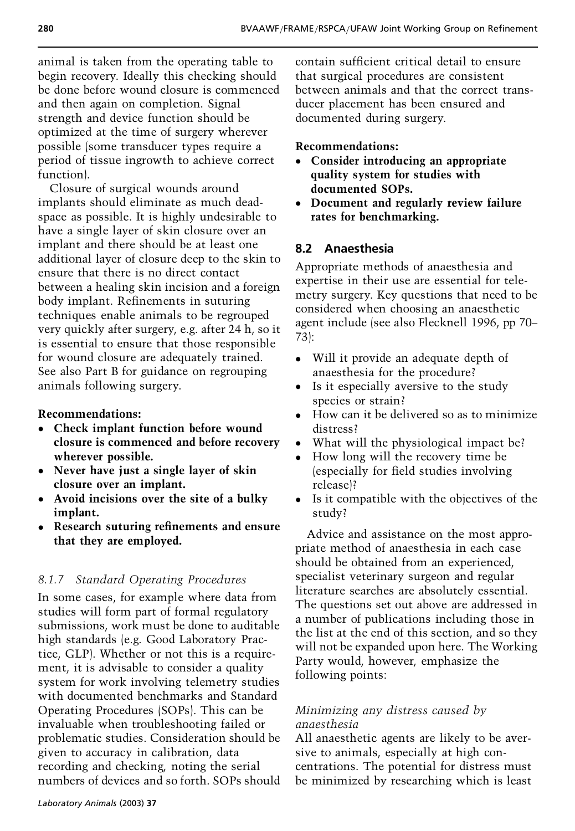animal is taken from the operating table to begin recovery. Ideally this checking should be done before wound closure is commenced and then again on completion. Signal strength and device function should be optimized at the time of surgery wherever possible (some transducer types require a period of tissue ingrowth to achieve correct function).

Closure of surgical wounds around implants should eliminate as much deadspace as possible. It is highly undesirable to have a single layer of skin closure over an implant and there should be at least one additional layer of closure deep to the skin to ensure that there is no direct contact between a healing skin incision and a foreign body implant. Refinements in suturing techniques enable animals to be regrouped very quickly after surgery, e.g. after 24 h, so it is essential to ensure that those responsible for wound closure are adequately trained. See also Part B for guidance on regrouping animals following surgery.

#### **Recommendations:**

- ° **Check implant function before wound closure is commenced and before recovery wherever possible.**
- ° **Never have just a single layer of skin closure over an implant.**
- ° **Avoid incisions over the site of a bulky implant.**
- ° **Research suturing renements and ensure that they are employed.**

#### *8.1.7 Standard Operating Procedures*

In some cases, for example where data from studies will form part of formal regulatory submissions, work must be done to auditable high standards (e.g. Good Laboratory Practice, GLP). Whether or not this is a requirement, it is advisable to consider a quality system for work involving telemetry studies with documented benchmarks and Standard Operating Procedures (SOPs). This can be invaluable when troubleshooting failed or problematic studies. Consideration should be given to accuracy in calibration, data recording and checking, noting the serial numbers of devices and so forth. SOPs should contain sufficient critical detail to ensure that surgical procedures are consistent between animals and that the correct transducer placement has been ensured and documented during surgery.

#### **Recommendations:**

- ° **Consider introducing an appropriate quality system for studies with documented SOPs.**
- ° **Document and regularly review failure rates for benchmarking.**

## **8.2 Anaesthesia**

Appropriate methods of anaesthesia and expertise in their use are essential for telemetry surgery. Key questions that need to be considered when choosing an anaesthetic agent include (see also Flecknell 1996, pp 70– 73):

- Will it provide an adequate depth of anaesthesia for the procedure?
- Is it especially aversive to the study species or strain?
- How can it be delivered so as to minimize distress?
- What will the physiological impact be?
- How long will the recovery time be (especially for field studies involving release)?
- Is it compatible with the objectives of the study?

Advice and assistance on the most appropriate method of anaesthesia in each case should be obtained from an experienced, specialist veterinary surgeon and regular literature searches are absolutely essential. The questions set out above are addressed in a number of publications including those in the list at the end of this section, and so they will not be expanded upon here. The Working Party would, however, emphasize the following points:

## *Minimizing any distress caused by anaesthesia*

All anaesthetic agents are likely to be aversive to animals, especially at high concentrations. The potential for distress must be minimized by researching which is least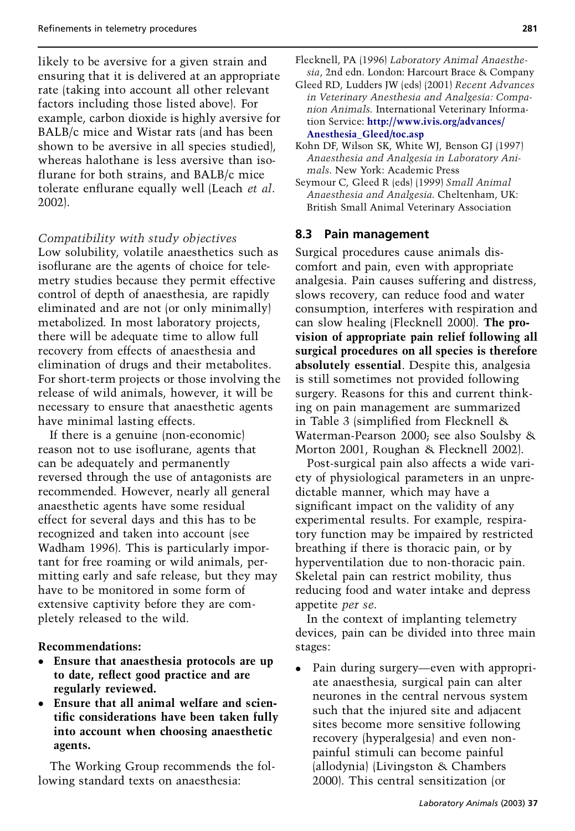likely to be aversive for a given strain and ensuring that it is delivered at an appropriate rate (taking into account all other relevant factors including those listed above). For example, carbon dioxide is highly aversive for BALB/c mice and Wistar rats (and has been shown to be aversive in all species studied), whereas halothane is less aversive than iso flurane for both strains, and BALB/c mice tolerate enflurane equally well (Leach *et al.* 2002).

*Compatibility with study objectives*

Low solubility, volatile anaesthetics such as iso flurane are the agents of choice for telemetry studies because they permit effective control of depth of anaesthesia, are rapidly eliminated and are not (or only minimally) metabolized. In most laboratory projects, there will be adequate time to allow full recovery from effects of anaesthesia and elimination of drugs and their metabolites. For short-term projects or those involving the release of wild animals, however, it will be necessary to ensure that anaesthetic agents have minimal lasting effects.

If there is a genuine (non-economic) reason not to use isoflurane, agents that can be adequately and permanently reversed through the use of antagonists are recommended. However, nearly all general anaesthetic agents have some residual effect for several days and this has to be recognized and taken into account (see Wadham 1996). This is particularly important for free roaming or wild animals, permitting early and safe release, but they may have to be monitored in some form of extensive captivity before they are completely released to the wild.

#### **Recommendations:**

- ° **Ensure that anaesthesia protocols are up**  $\bf{t}$ **o** date, **reflect good practice** and **are regularly reviewed.**
- **Ensure that all animal welfare and scientic considerations have been taken fully into account when choosing anaesthetic agents.**

The Working Group recommends the following standard texts on anaesthesia:

- Flecknell, PA (1996) *Laboratory Animal Anaesthesia*, 2nd edn. London: Harcourt Brace & Company
- Gleed RD, Ludders JW (eds) (2001) *Recent Advances in Veterinary Anesthesia and Analgesia: Companion Animals*. International Veterinary Information Service: **[http://www.ivis.org/advances/](http://www.ivis.org/advances/Anesthesia_Gleed/toc.asp) [Anesthesia\\_Gleed/toc.asp](http://www.ivis.org/advances/Anesthesia_Gleed/toc.asp)**
- Kohn DF, Wilson SK, White WJ, Benson GJ (1997) *Anaesthesia and Analgesia in Laboratory Animals*. New York: Academic Press
- Seymour C, Gleed R (eds) (1999) *Small Animal Anaesthesia and Analgesia*. Cheltenham, UK: British Small Animal Veterinary Association

#### **8.3 Pain management**

Surgical procedures cause animals discomfort and pain, even with appropriate analgesia. Pain causes suffering and distress, slows recovery, can reduce food and water consumption, interferes with respiration and can slow healing (Flecknell 2000). **The provision of appropriate pain relief following all surgical procedures on all species is therefore absolutely essential**. Despite this, analgesia is still sometimes not provided following surgery. Reasons for this and current thinking on pain management are summarized in Table 3 (simplified from Flecknell & Waterman-Pearson 2000; see also Soulsby & Morton 2001, Roughan & Flecknell 2002).

Post-surgical pain also affects a wide variety of physiological parameters in an unpredictable manner, which may have a significant impact on the validity of any experimental results. For example, respiratory function may be impaired by restricted breathing if there is thoracic pain, or by hyperventilation due to non-thoracic pain. Skeletal pain can restrict mobility, thus reducing food and water intake and depress appetite *per se*.

In the context of implanting telemetry devices, pain can be divided into three main stages:

Pain during surgery—even with appropriate anaesthesia, surgical pain can alter neurones in the central nervous system such that the injured site and adjacent sites become more sensitive following recovery (hyperalgesia) and even nonpainful stimuli can become painful (allodynia) (Livingston & Chambers 2000). This central sensitization (or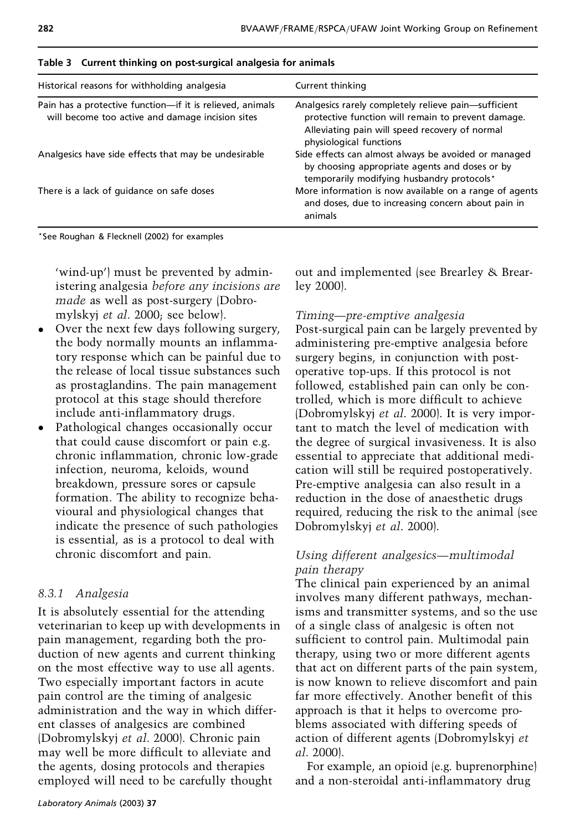| Historical reasons for withholding analgesia                                                                  | Current thinking                                                                                                                                                                        |
|---------------------------------------------------------------------------------------------------------------|-----------------------------------------------------------------------------------------------------------------------------------------------------------------------------------------|
| Pain has a protective function—if it is relieved, animals<br>will become too active and damage incision sites | Analgesics rarely completely relieve pain-sufficient<br>protective function will remain to prevent damage.<br>Alleviating pain will speed recovery of normal<br>physiological functions |
| Analgesics have side effects that may be undesirable                                                          | Side effects can almost always be avoided or managed<br>by choosing appropriate agents and doses or by<br>temporarily modifying husbandry protocols*                                    |
| There is a lack of guidance on safe doses                                                                     | More information is now available on a range of agents<br>and doses, due to increasing concern about pain in<br>animals                                                                 |

|  |  | Table 3 Current thinking on post-surgical analgesia for animals |  |
|--|--|-----------------------------------------------------------------|--|
|--|--|-----------------------------------------------------------------|--|

\*See Roughan & Flecknell (2002) for examples

'wind-up') must be prevented by administering analgesia *before any incisions are made* as well as post-surgery (Dobromylskyj *et al*. 2000; see below).

- Over the next few days following surgery, the body normally mounts an inflammatory response which can be painful due to the release of local tissue substances such as prostaglandins. The pain management protocol at this stage should therefore include anti-inflammatory drugs.
- Pathological changes occasionally occur that could cause discomfort or pain e.g. chronic inflammation, chronic low-grade infection, neuroma, keloids, wound breakdown, pressure sores or capsule formation. The ability to recognize behavioural and physiological changes that indicate the presence of such pathologies is essential, as is a protocol to deal with chronic discomfort and pain.

## *8.3.1 Analgesia*

It is absolutely essential for the attending veterinarian to keep up with developments in pain management, regarding both the production of new agents and current thinking on the most effective way to use all agents. Two especially important factors in acute pain control are the timing of analgesic administration and the way in which different classes of analgesics are combined (Dobromylskyj *et al*. 2000). Chronic pain may well be more difficult to alleviate and the agents, dosing protocols and therapies employed will need to be carefully thought

out and implemented (see Brearley & Brearley 2000).

## *Timing—pre-emptive analgesia*

Post-surgical pain can be largely prevented by administering pre-emptive analgesia before surgery begins, in conjunction with postoperative top-ups. If this protocol is not followed, established pain can only be controlled, which is more difficult to achieve (Dobromylskyj *et al*. 2000). It is very important to match the level of medication with the degree of surgical invasiveness. It is also essential to appreciate that additional medication will still be required postoperatively. Pre-emptive analgesia can also result in a reduction in the dose of anaesthetic drugs required, reducing the risk to the animal (see Dobromylskyj *et al*. 2000).

## *Using different analgesics—multimodal pain therapy*

The clinical pain experienced by an animal involves many different pathways, mechanisms and transmitter systems, and so the use of a single class of analgesic is often not sufficient to control pain. Multimodal pain therapy, using two or more different agents that act on different parts of the pain system, is now known to relieve discomfort and pain far more effectively. Another benefit of this approach is that it helps to overcome problems associated with differing speeds of action of different agents (Dobromylskyj *et al*. 2000).

For example, an opioid (e.g. buprenorphine) and a non-steroidal anti-inflammatory drug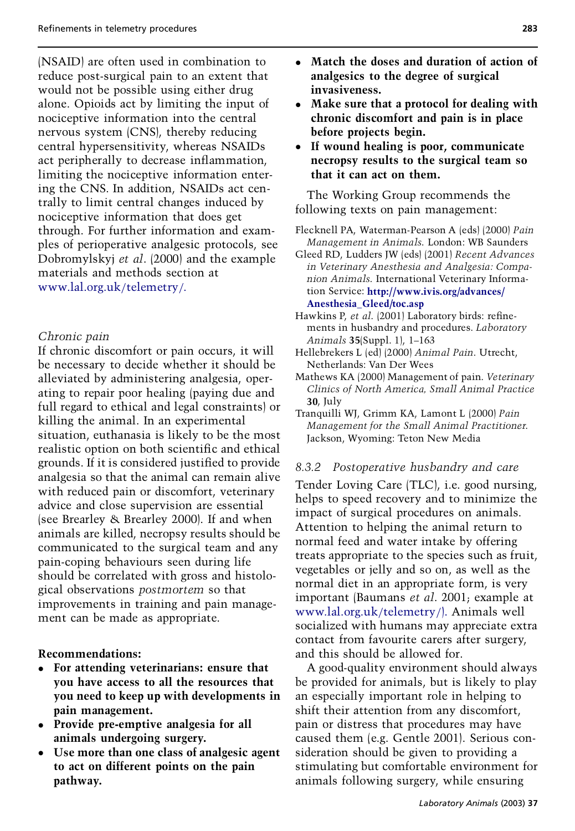(NSAID) are often used in combination to reduce post-surgical pain to an extent that would not be possible using either drug alone. Opioids act by limiting the input of nociceptive information into the central nervous system (CNS), thereby reducing central hypersensitivity, whereas NSAIDs act peripherally to decrease inflammation, limiting the nociceptive information entering the CNS. In addition, NSAIDs act centrally to limit central changes induced by nociceptive information that does get through. For further information and examples of perioperative analgesic protocols, see Dobromylskyj *et al*. (2000) and the example materials and methods section at [www.lal.org.uk](http://www.lal.org.uk/telemetry/)/telemetry/.

# *Chronic pain*

If chronic discomfort or pain occurs, it will be necessary to decide whether it should be alleviated by administering analgesia, operating to repair poor healing (paying due and full regard to ethical and legal constraints) or killing the animal. In an experimental situation, euthanasia is likely to be the most realistic option on both scientific and ethical grounds. If it is considered justified to provide analgesia so that the animal can remain alive with reduced pain or discomfort, veterinary advice and close supervision are essential (see Brearley & Brearley 2000). If and when animals are killed, necropsy results should be communicated to the surgical team and any pain-coping behaviours seen during life should be correlated with gross and histological observations *postmortem* so that improvements in training and pain management can be made as appropriate.

#### **Recommendations:**

- ° **For attending veterinarians: ensure that you have access to all the resources that you need to keep up with developments in pain management.**
- ° **Provide pre-emptive analgesia for all animals undergoing surgery.**
- ° **Use more than one class of analgesic agent to act on different points on the pain pathway.**
- ° **Match the doses and duration of action of analgesics to the degree of surgical invasiveness.**
- ° **Make sure that a protocol for dealing with chronic discomfort and pain is in place before projects begin.**
- ° **If wound healing is poor, communicate necropsy results to the surgical team so that it can act on them.**

The Working Group recommends the following texts on pain management:

- Flecknell PA, Waterman-Pearson A (eds) (2000) *Pain Management in Animals*. London: WB Saunders
- Gleed RD, Ludders JW (eds) (2001) *Recent Advances in Veterinary Anesthesia and Analgesia: Companion Animals*. International Veterinary Information Service: **[http://www.ivis.org/advances/](http://www.ivis.org/advances/Anesthesia_Gleed/toc.asp) [Anesthesia\\_Gleed/toc.asp](http://www.ivis.org/advances/Anesthesia_Gleed/toc.asp)**
- Hawkins P, et al. (2001) Laboratory birds: refinements in husbandry and procedures. *Laboratory Animals* **35**(Suppl. 1), 1–163
- Hellebrekers L (ed) (2000) *Animal Pain*. Utrecht, Netherlands: Van Der Wees
- Mathews KA (2000) Management of pain. *Veterinary Clinics of North America, Small Animal Practice* **30**, July
- Tranquilli WJ, Grimm KA, Lamont L (2000) *Pain Management for the Small Animal Practitioner*. Jackson, Wyoming: Teton New Media

#### *8.3.2 Postoperative husbandry and care*

Tender Loving Care (TLC), i.e. good nursing, helps to speed recovery and to minimize the impact of surgical procedures on animals. Attention to helping the animal return to normal feed and water intake by offering treats appropriate to the species such as fruit, vegetables or jelly and so on, as well as the normal diet in an appropriate form, is very important (Baumans *et al*. 2001; example at [www.lal.org.uk](http://www.lal.org.uk/telemetry/)/telemetry/). Animals well socialized with humans may appreciate extra contact from favourite carers after surgery, and this should be allowed for.

A good-quality environment should always be provided for animals, but is likely to play an especially important role in helping to shift their attention from any discomfort, pain or distress that procedures may have caused them (e.g. Gentle 2001). Serious consideration should be given to providing a stimulating but comfortable environment for animals following surgery, while ensuring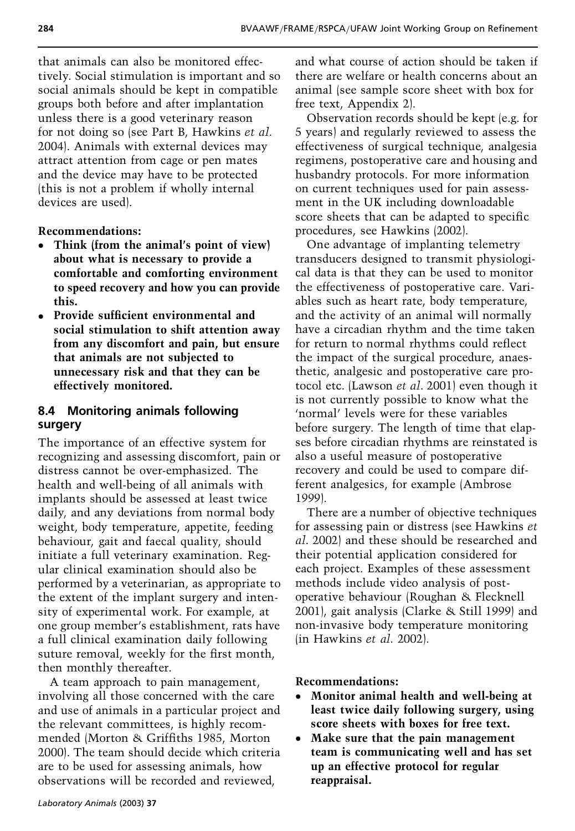**284** BVAAWF/FRAME/RSPCA/UFAW Joint Working Group on Refinement

that animals can also be monitored effectively. Social stimulation is important and so social animals should be kept in compatible groups both before and after implantation unless there is a good veterinary reason for not doing so (see Part B, Hawkins *et al*. 2004). Animals with external devices may attract attention from cage or pen mates and the device may have to be protected (this is not a problem if wholly internal devices are used).

**Recommendations:**

- ° **Think (from the animal's point of view) about what is necessary to provide a comfortable and comforting environment to speed recovery and how you can provide this.**
- ° **Provide sufcient environmental and social stimulation to shift attention away from any discomfort and pain, but ensure that animals are not subjected to unnecessary risk and that they can be effectively monitored.**

## **8.4 Monitoring animals following surgery**

The importance of an effective system for recognizing and assessing discomfort, pain or distress cannot be over-emphasized. The health and well-being of all animals with implants should be assessed at least twice daily, and any deviations from normal body weight, body temperature, appetite, feeding behaviour, gait and faecal quality, should initiate a full veterinary examination. Regular clinical examination should also be performed by a veterinarian, as appropriate to the extent of the implant surgery and intensity of experimental work. For example, at one group member's establishment, rats have a full clinical examination daily following suture removal, weekly for the first month, then monthly thereafter.

A team approach to pain management, involving all those concerned with the care and use of animals in a particular project and the relevant committees, is highly recommended (Morton & Griffiths 1985, Morton 2000). The team should decide which criteria are to be used for assessing animals, how observations will be recorded and reviewed,

and what course of action should be taken if there are welfare or health concerns about an animal (see sample score sheet with box for free text, Appendix 2).

Observation records should be kept (e.g. for 5 years) and regularly reviewed to assess the effectiveness of surgical technique, analgesia regimens, postoperative care and housing and husbandry protocols. For more information on current techniques used for pain assessment in the UK including downloadable score sheets that can be adapted to specific procedures, see Hawkins (2002).

One advantage of implanting telemetry transducers designed to transmit physiological data is that they can be used to monitor the effectiveness of postoperative care. Variables such as heart rate, body temperature, and the activity of an animal will normally have a circadian rhythm and the time taken for return to normal rhythms could reflect the impact of the surgical procedure, anaesthetic, analgesic and postoperative care protocol etc. (Lawson *et al*. 2001) even though it is not currently possible to know what the 'normal' levels were for these variables before surgery. The length of time that elapses before circadian rhythms are reinstated is also a useful measure of postoperative recovery and could be used to compare different analgesics, for example (Ambrose 1999).

There are a number of objective techniques for assessing pain or distress (see Hawkins *et al*. 2002) and these should be researched and their potential application considered for each project. Examples of these assessment methods include video analysis of postoperative behaviour (Roughan & Flecknell 2001), gait analysis (Clarke & Still 1999) and non-invasive body temperature monitoring (in Hawkins *et al*. 2002).

#### **Recommendations:**

- ° **Monitor animal health and well-being at least twice daily following surgery, using score sheets with boxes for free text.**
- ° **Make sure that the pain management team is communicating well and has set up an effective protocol for regular reappraisal.**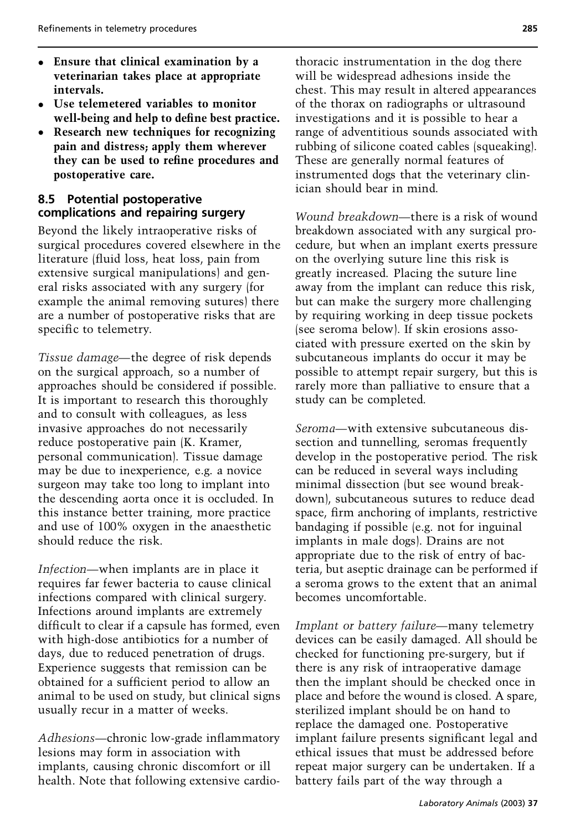- ° **Ensure that clinical examination by a veterinarian takes place at appropriate intervals.**
- ° **Use telemetered variables to monitor well-being and help to de ne best practice.**
- ° **Research new techniques for recognizing pain and distress; apply them wherever they can be used to rene procedures and postoperative care.**

## **8.5 Potential postoperative complications and repairing surgery**

Beyond the likely intraoperative risks of surgical procedures covered elsewhere in the literature (fluid loss, heat loss, pain from extensive surgical manipulations) and general risks associated with any surgery (for example the animal removing sutures) there are a number of postoperative risks that are specific to telemetry.

*Tissue damage—*the degree of risk depends on the surgical approach, so a number of approaches should be considered if possible. It is important to research this thoroughly and to consult with colleagues, as less invasive approaches do not necessarily reduce postoperative pain (K. Kramer, personal communication). Tissue damage may be due to inexperience, e.g. a novice surgeon may take too long to implant into the descending aorta once it is occluded. In this instance better training, more practice and use of 100% oxygen in the anaesthetic should reduce the risk.

*Infection—*when implants are in place it requires far fewer bacteria to cause clinical infections compared with clinical surgery. Infections around implants are extremely difficult to clear if a capsule has formed, even with high-dose antibiotics for a number of days, due to reduced penetration of drugs. Experience suggests that remission can be obtained for a sufficient period to allow an animal to be used on study, but clinical signs usually recur in a matter of weeks.

Adhesions-chronic low-grade inflammatory lesions may form in association with implants, causing chronic discomfort or ill health. Note that following extensive cardiothoracic instrumentation in the dog there will be widespread adhesions inside the chest. This may result in altered appearances of the thorax on radiographs or ultrasound investigations and it is possible to hear a range of adventitious sounds associated with rubbing of silicone coated cables (squeaking). These are generally normal features of instrumented dogs that the veterinary clinician should bear in mind.

*Wound breakdown—*there is a risk of wound breakdown associated with any surgical procedure, but when an implant exerts pressure on the overlying suture line this risk is greatly increased. Placing the suture line away from the implant can reduce this risk, but can make the surgery more challenging by requiring working in deep tissue pockets (see seroma below). If skin erosions associated with pressure exerted on the skin by subcutaneous implants do occur it may be possible to attempt repair surgery, but this is rarely more than palliative to ensure that a study can be completed.

*Seroma—*with extensive subcutaneous dissection and tunnelling, seromas frequently develop in the postoperative period. The risk can be reduced in several ways including minimal dissection (but see wound breakdown), subcutaneous sutures to reduce dead space, firm anchoring of implants, restrictive bandaging if possible (e.g. not for inguinal implants in male dogs). Drains are not appropriate due to the risk of entry of bacteria, but aseptic drainage can be performed if a seroma grows to the extent that an animal becomes uncomfortable.

*Implant or battery failure—*many telemetry devices can be easily damaged. All should be checked for functioning pre-surgery, but if there is any risk of intraoperative damage then the implant should be checked once in place and before the wound is closed. A spare, sterilized implant should be on hand to replace the damaged one. Postoperative implant failure presents significant legal and ethical issues that must be addressed before repeat major surgery can be undertaken. If a battery fails part of the way through a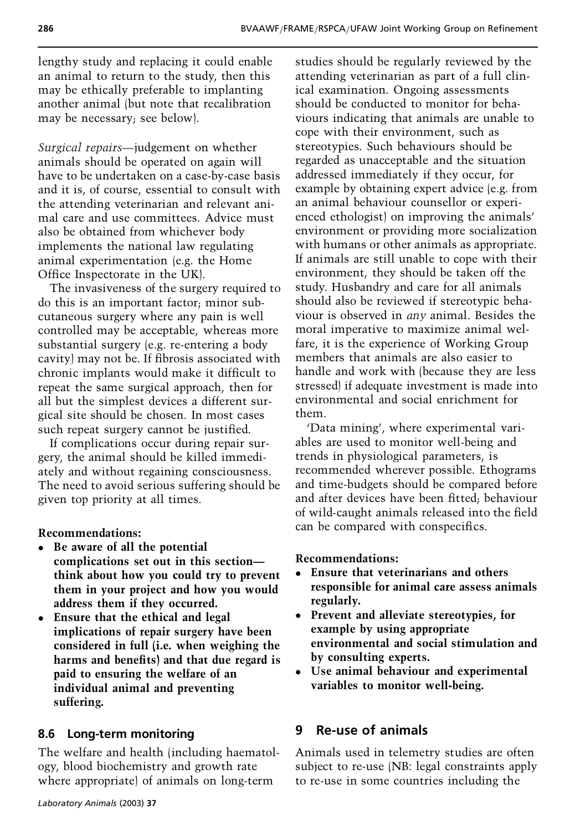**286** BVAAWF/FRAME/RSPCA/UFAW Joint Working Group on Refinement

lengthy study and replacing it could enable an animal to return to the study, then this may be ethically preferable to implanting another animal (but note that recalibration may be necessary; see below).

*Surgical repairs—*judgement on whether animals should be operated on again will have to be undertaken on a case-by-case basis and it is, of course, essential to consult with the attending veterinarian and relevant animal care and use committees. Advice must also be obtained from whichever body implements the national law regulating animal experimentation (e.g. the Home Office Inspectorate in the UK).

The invasiveness of the surgery required to do this is an important factor; minor subcutaneous surgery where any pain is well controlled may be acceptable, whereas more substantial surgery (e.g. re-entering a body cavity) may not be. If fibrosis associated with chronic implants would make it difficult to repeat the same surgical approach, then for all but the simplest devices a different surgical site should be chosen. In most cases such repeat surgery cannot be justified.

If complications occur during repair surgery, the animal should be killed immediately and without regaining consciousness. The need to avoid serious suffering should be given top priority at all times.

#### **Recommendations:**

- ° **Be aware of all the potential complications set out in this section think about how you could try to prevent them in your project and how you would address them if they occurred.**
- ° **Ensure that the ethical and legal implications of repair surgery have been considered in full (i.e. when weighing the harms** and benefits) and that due regard is **paid to ensuring the welfare of an individual animal and preventing suffering.**

## **8.6 Long-term monitoring**

The welfare and health (including haematology, blood biochemistry and growth rate where appropriate) of animals on long-term

studies should be regularly reviewed by the attending veterinarian as part of a full clinical examination. Ongoing assessments should be conducted to monitor for behaviours indicating that animals are unable to cope with their environment, such as stereotypies. Such behaviours should be regarded as unacceptable and the situation addressed immediately if they occur, for example by obtaining expert advice (e.g. from an animal behaviour counsellor or experienced ethologist) on improving the animals' environment or providing more socialization with humans or other animals as appropriate. If animals are still unable to cope with their environment, they should be taken off the study. Husbandry and care for all animals should also be reviewed if stereotypic behaviour is observed in *any* animal. Besides the moral imperative to maximize animal welfare, it is the experience of Working Group members that animals are also easier to handle and work with (because they are less stressed) if adequate investment is made into environmental and social enrichment for them.

'Data mining', where experimental variables are used to monitor well-being and trends in physiological parameters, is recommended wherever possible. Ethograms and time-budgets should be compared before and after devices have been fitted; behaviour of wild-caught animals released into the field can be compared with conspecifics.

#### **Recommendations:**

- ° **Ensure that veterinarians and others responsible for animal care assess animals regularly.**
- ° **Prevent and alleviate stereotypies, for example by using appropriate environmental and social stimulation and by consulting experts.**
- ° **Use animal behaviour and experimental variables to monitor well-being.**

# **9 Re-use of animals**

Animals used in telemetry studies are often subject to re-use (NB: legal constraints apply to re-use in some countries including the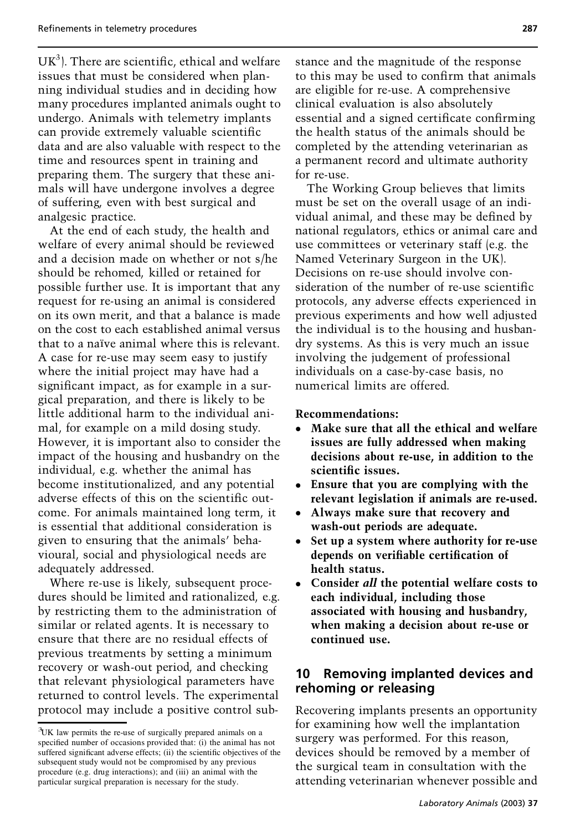UK<sup>3</sup>). There are scientific, ethical and welfare s issues that must be considered when planning individual studies and in deciding how many procedures implanted animals ought to undergo. Animals with telemetry implants can provide extremely valuable scientific data and are also valuable with respect to the time and resources spent in training and preparing them. The surgery that these animals will have undergone involves a degree of suffering, even with best surgical and analgesic practice.

At the end of each study, the health and welfare of every animal should be reviewed and a decision made on whether or not s/he should be rehomed, killed or retained for possible further use. It is important that any request for re-using an animal is considered on its own merit, and that a balance is made on the cost to each established animal versus that to a naïve animal where this is relevant. A case for re-use may seem easy to justify where the initial project may have had a significant impact, as for example in a surgical preparation, and there is likely to be little additional harm to the individual animal, for example on a mild dosing study. However, it is important also to consider the impact of the housing and husbandry on the individual, e.g. whether the animal has become institutionalized, and any potential adverse effects of this on the scientific outcome. For animals maintained long term, it is essential that additional consideration is given to ensuring that the animals' behavioural, social and physiological needs are adequately addressed.

Where re-use is likely, subsequent procedures should be limited and rationalized, e.g. by restricting them to the administration of similar or related agents. It is necessary to ensure that there are no residual effects of previous treatments by setting a minimum recovery or wash-out period, and checking that relevant physiological parameters have returned to control levels. The experimental protocol may include a positive control substance and the magnitude of the response to this may be used to confirm that animals are eligible for re-use. A comprehensive clinical evaluation is also absolutely essential and a signed certificate confirming the health status of the animals should be completed by the attending veterinarian as a permanent record and ultimate authority for re-use.

The Working Group believes that limits must be set on the overall usage of an individual animal, and these may be defined by national regulators, ethics or animal care and use committees or veterinary staff (e.g. the Named Veterinary Surgeon in the UK). Decisions on re-use should involve consideration of the number of re-use scientific protocols, any adverse effects experienced in previous experiments and how well adjusted the individual is to the housing and husbandry systems. As this is very much an issue involving the judgement of professional individuals on a case-by-case basis, no numerical limits are offered.

#### **Recommendations:**

- ° **Make sure that all the ethical and welfare issues are fully addressed when making decisions about re-use, in addition to the**  $s$  **cientific issues.**
- ° **Ensure that you are complying with the relevant legislation if animals are re-used.**
- ° **Always make sure that recovery and wash-out periods are adequate.**
- ° **Set up a system where authority for re-use depends on veri able certi cation of health status.**
- ° **Consider** *all* **the potential welfare costs to each individual, including those associated with housing and husbandry, when making a decision about re-use or continued use.**

# **10 Removing implanted devices and rehoming or releasing**

Recovering implants presents an opportunity for examining how well the implantation surgery was performed. For this reason, devices should be removed by a member of the surgical team in consultation with the attending veterinarian whenever possible and

<sup>3</sup>UK law permits the re-use of surgically prepared animals on <sup>a</sup> specified number of occasions provided that: (i) the animal has not suffered significant adverse effects; (ii) the scientific objectives of the subsequent study would not be compromised by any previous procedure (e.g. drug interactions); and (iii) an animal with the particular surgical preparation is necessary for the study.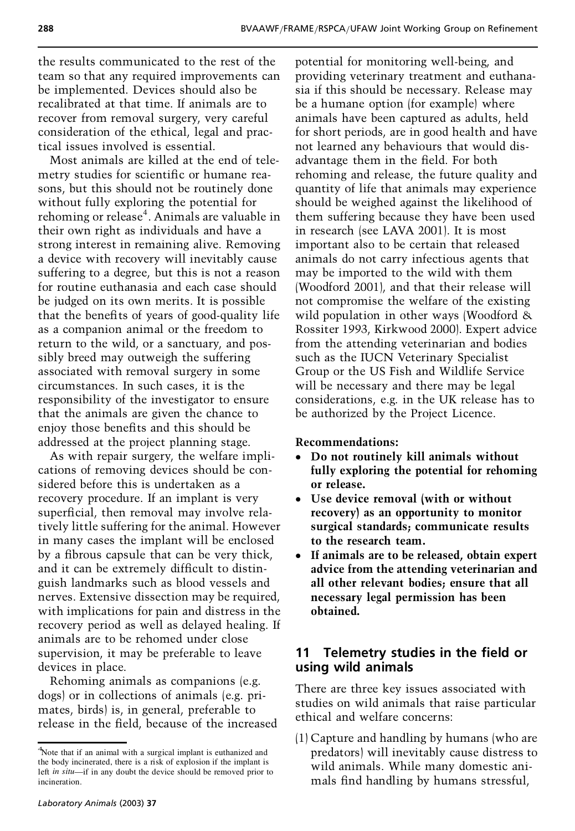the results communicated to the rest of the team so that any required improvements can be implemented. Devices should also be recalibrated at that time. If animals are to recover from removal surgery, very careful consideration of the ethical, legal and practical issues involved is essential.

Most animals are killed at the end of telemetry studies for scientific or humane reasons, but this should not be routinely done without fully exploring the potential for rehoming or release<sup>4</sup>. Animals are valuable in tl their own right as individuals and have a strong interest in remaining alive. Removing a device with recovery will inevitably cause suffering to a degree, but this is not a reason for routine euthanasia and each case should be judged on its own merits. It is possible that the benefits of years of good-quality life as a companion animal or the freedom to return to the wild, or a sanctuary, and possibly breed may outweigh the suffering associated with removal surgery in some circumstances. In such cases, it is the responsibility of the investigator to ensure that the animals are given the chance to enjoy those benefits and this should be addressed at the project planning stage.

As with repair surgery, the welfare implications of removing devices should be considered before this is undertaken as a recovery procedure. If an implant is very superficial, then removal may involve relatively little suffering for the animal. However in many cases the implant will be enclosed by a fibrous capsule that can be very thick, and it can be extremely difficult to distinguish landmarks such as blood vessels and nerves. Extensive dissection may be required, with implications for pain and distress in the recovery period as well as delayed healing. If animals are to be rehomed under close supervision, it may be preferable to leave devices in place.

Rehoming animals as companions (e.g. dogs) or in collections of animals (e.g. primates, birds) is, in general, preferable to release in the field, because of the increased potential for monitoring well-being, and providing veterinary treatment and euthanasia if this should be necessary. Release may be a humane option (for example) where animals have been captured as adults, held for short periods, are in good health and have not learned any behaviours that would disadvantage them in the field. For both rehoming and release, the future quality and quantity of life that animals may experience should be weighed against the likelihood of them suffering because they have been used in research (see LAVA 2001). It is most important also to be certain that released animals do not carry infectious agents that may be imported to the wild with them (Woodford 2001), and that their release will not compromise the welfare of the existing wild population in other ways (Woodford & Rossiter 1993, Kirkwood 2000). Expert advice from the attending veterinarian and bodies such as the IUCN Veterinary Specialist Group or the US Fish and Wildlife Service will be necessary and there may be legal considerations, e.g. in the UK release has to be authorized by the Project Licence.

#### **Recommendations:**

- ° **Do not routinely kill animals without fully exploring the potential for rehoming or release.**
- ° **Use device removal (with or without recovery) as an opportunity to monitor surgical standards; communicate results to the research team.**
- ° **If animals are to be released, obtain expert advice from the attending veterinarian and all other relevant bodies; ensure that all necessary legal permission has been obtained.**

# **11 Telemetry studies in the eld or using wild animals**

There are three key issues associated with studies on wild animals that raise particular ethical and welfare concerns:

(1) Capture and handling by humans (who are predators) will inevitably cause distress to wild animals. While many domestic animals find handling by humans stressful,

<sup>4</sup>Note that if an animal with <sup>a</sup> surgical implant is euthanized and the body incinerated, there is a risk of explosion if the implant is left *in situ*—if in any doubt the device should be removed prior to incineration.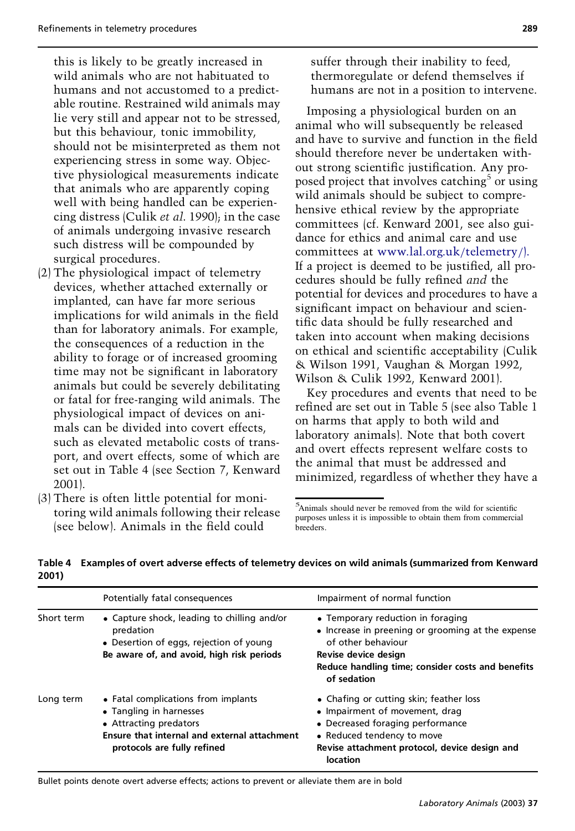this is likely to be greatly increased in wild animals who are not habituated to humans and not accustomed to a predictable routine. Restrained wild animals may lie very still and appear not to be stressed, but this behaviour, tonic immobility, should not be misinterpreted as them not experiencing stress in some way. Objective physiological measurements indicate that animals who are apparently coping well with being handled can be experiencing distress (Culik *et al*. 1990); in the case of animals undergoing invasive research such distress will be compounded by surgical procedures.

- (2) The physiological impact of telemetry devices, whether attached externally or implanted, can have far more serious implications for wild animals in the field than for laboratory animals. For example, the consequences of a reduction in the ability to forage or of increased grooming time may not be significant in laboratory animals but could be severely debilitating or fatal for free-ranging wild animals. The physiological impact of devices on animals can be divided into covert effects, such as elevated metabolic costs of transport, and overt effects, some of which are set out in Table 4 (see Section 7, Kenward 2001).
- (3) There is often little potential for monitoring wild animals following their release (see below). Animals in the field could

suffer through their inability to feed, thermoregulate or defend themselves if humans are not in a position to intervene.

Imposing a physiological burden on an animal who will subsequently be released and have to survive and function in the field should therefore never be undertaken without strong scientific justification. Any proposed project that involves catching<sup>5</sup> or using wild animals should be subject to comprehensive ethical review by the appropriate committees (cf. Kenward 2001, see also guidance for ethics and animal care and use committees at [www.lal.org.uk](http://www.lal.org.uk/telemetry/)/telemetry/). If a project is deemed to be justified, all procedures should be fully refined *and* the potential for devices and procedures to have a significant impact on behaviour and scientific data should be fully researched and taken into account when making decisions on ethical and scientific acceptability (Culik & Wilson 1991, Vaughan & Morgan 1992, Wilson & Culik 1992, Kenward 2001).

Key procedures and events that need to be refined are set out in Table 5 (see also Table 1) on harms that apply to both wild and laboratory animals). Note that both covert and overt effects represent welfare costs to the animal that must be addressed and minimized, regardless of whether they have a

|            | Potentially fatal consequences                                                                                                                                          | Impairment of normal function                                                                                                                                                                            |
|------------|-------------------------------------------------------------------------------------------------------------------------------------------------------------------------|----------------------------------------------------------------------------------------------------------------------------------------------------------------------------------------------------------|
| Short term | • Capture shock, leading to chilling and/or<br>predation<br>• Desertion of eggs, rejection of young<br>Be aware of, and avoid, high risk periods                        | • Temporary reduction in foraging<br>• Increase in preening or grooming at the expense<br>of other behaviour<br>Revise device design<br>Reduce handling time; consider costs and benefits<br>of sedation |
| Long term  | • Fatal complications from implants<br>• Tangling in harnesses<br>• Attracting predators<br>Ensure that internal and external attachment<br>protocols are fully refined | • Chafing or cutting skin; feather loss<br>• Impairment of movement, drag<br>• Decreased foraging performance<br>• Reduced tendency to move<br>Revise attachment protocol, device design and<br>location |

**Table 4 Examples of overt adverse effects of telemetry devices on wild animals (summarized from Kenward 2001)**

<sup>&</sup>lt;sup>5</sup>Animals should never be removed from the wild for scientific purposes unless it is impossible to obtain them from commercial breeders.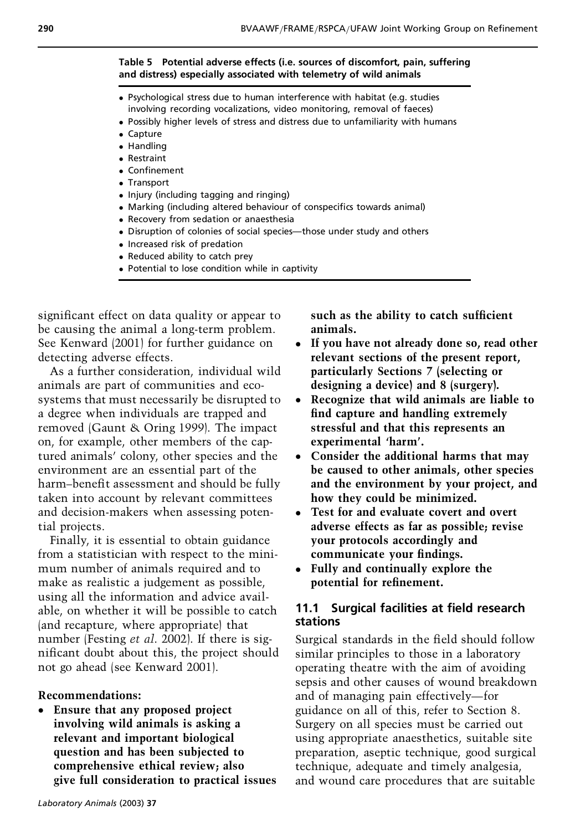**Table 5 Potential adverse effects (i.e. sources of discomfort, pain, suffering and distress) especially associated with telemetry of wild animals**

- ° Psychological stress due to human interference with habitat (e.g. studies involving recording vocalizations, video monitoring, removal of faeces)
- ° Possibly higher levels of stress and distress due to unfamiliarity with humans
- ° Capture
- ° Handling
- ° Restraint
- Confinement
- Transport
- ° Injury (including tagging and ringing)
- Marking (including altered behaviour of conspecifics towards animal)
- ° Recovery from sedation or anaesthesia
- ° Disruption of colonies of social species—those under study and others
- ° Increased risk of predation
- Reduced ability to catch prey
- Potential to lose condition while in captivity

significant effect on data quality or appear to be causing the animal a long-term problem. See Kenward (2001) for further guidance on detecting adverse effects.

As a further consideration, individual wild animals are part of communities and ecosystems that must necessarily be disrupted to a degree when individuals are trapped and removed (Gaunt & Oring 1999). The impact on, for example, other members of the captured animals' colony, other species and the environment are an essential part of the harm–benefit assessment and should be fully taken into account by relevant committees and decision-makers when assessing potential projects.

Finally, it is essential to obtain guidance from a statistician with respect to the minimum number of animals required and to make as realistic a judgement as possible, using all the information and advice available, on whether it will be possible to catch (and recapture, where appropriate) that number (Festing *et al*. 2002). If there is significant doubt about this, the project should not go ahead (see Kenward 2001).

#### **Recommendations:**

° **Ensure that any proposed project involving wild animals is asking a relevant and important biological question and has been subjected to comprehensive ethical review; also give full consideration to practical issues** **such** as the ability to catch sufficient **animals.**

- ° **If you have not already done so, read other relevant sections of the present report, particularly Sections 7 (selecting or designing a device) and 8 (surgery).**
- ° **Recognize that wild animals are liable to nd capture and handling extremely stressful and that this represents an experimental 'harm'.**
- ° **Consider the additional harms that may be caused to other animals, other species and the environment by your project, and how they could be minimized.**
- ° **Test for and evaluate covert and overt adverse effects as far as possible; revise your protocols accordingly and communicate your ndings.**
- ° **Fully and continually explore the potential** for refinement.

#### **11.1 Surgical facilities at eld research stations**

Surgical standards in the field should follow similar principles to those in a laboratory operating theatre with the aim of avoiding sepsis and other causes of wound breakdown and of managing pain effectively—for guidance on all of this, refer to Section 8. Surgery on all species must be carried out using appropriate anaesthetics, suitable site preparation, aseptic technique, good surgical technique, adequate and timely analgesia, and wound care procedures that are suitable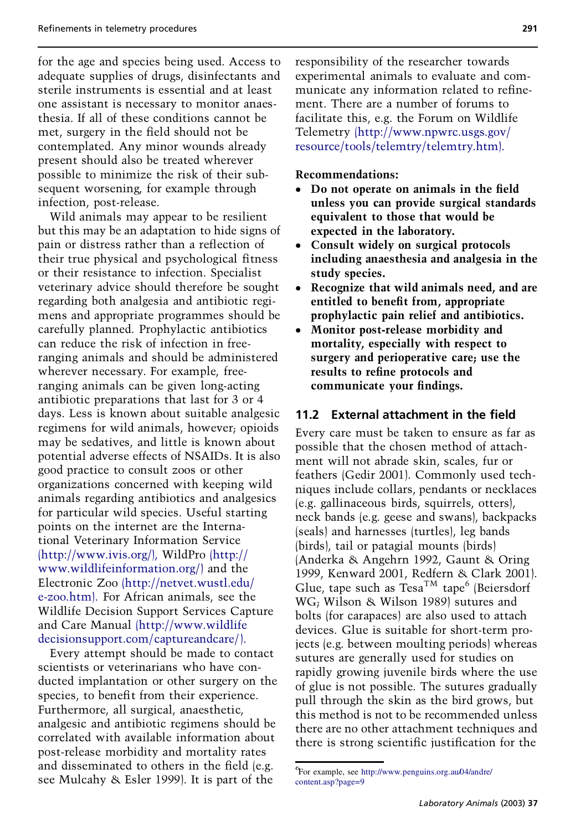for the age and species being used. Access to adequate supplies of drugs, disinfectants and sterile instruments is essential and at least one assistant is necessary to monitor anaesthesia. If all of these conditions cannot be met, surgery in the field should not be contemplated. Any minor wounds already present should also be treated wherever possible to minimize the risk of their subsequent worsening, for example through infection, post-release.

Wild animals may appear to be resilient but this may be an adaptation to hide signs of pain or distress rather than a reflection of their true physical and psychological fitness or their resistance to infection. Specialist veterinary advice should therefore be sought regarding both analgesia and antibiotic regimens and appropriate programmes should be carefully planned. Prophylactic antibiotics can reduce the risk of infection in freeranging animals and should be administered wherever necessary. For example, freeranging animals can be given long-acting antibiotic preparations that last for 3 or 4 days. Less is known about suitable analgesic regimens for wild animals, however; opioids may be sedatives, and little is known about potential adverse effects of NSAIDs. It is also good practice to consult zoos or other organizations concerned with keeping wild animals regarding antibiotics and analgesics for particular wild species. Useful starting points on the internet are the International Veterinary Information Service [\(http://www.ivis.org/\),](http://www.ivis.org/) WildPro [\(http://](http://www.wildlifeinformation.org/) [www.wildlifeinformation.org/\)](http://www.wildlifeinformation.org/) and the Electronic Zoo [\(http://netvet.wustl.edu/](http://netvet.wustl.edu/e-zoo.htm) [e-zoo.htm\).](http://netvet.wustl.edu/e-zoo.htm) For African animals, see the Wildlife Decision Support Services Capture and Care Manual [\(http://www.wildlife](http://www.wildlifedecisionsupport.com/captureandcare/) [decisionsupport.com/captureandcare/\).](http://www.wildlifedecisionsupport.com/captureandcare/)

Every attempt should be made to contact scientists or veterinarians who have conducted implantation or other surgery on the species, to benefit from their experience. Furthermore, all surgical, anaesthetic, analgesic and antibiotic regimens should be correlated with available information about post-release morbidity and mortality rates and disseminated to others in the field (e.g. see Mulcahy & Esler 1999). It is part of the

responsibility of the researcher towards experimental animals to evaluate and communicate any information related to refinement. There are a number of forums to facilitate this, e.g. the Forum on Wildlife Telemetry [\(http://www.npwrc.usgs.gov/](http://www.npwrc.usgs.gov/resource/tools/telemtry/telemtry.htm) [resource/tools/telemtry/telemtry.htm\).](http://www.npwrc.usgs.gov/resource/tools/telemtry/telemtry.htm)

#### **Recommendations:**

- ° **Do not operate on animals in the eld unless you can provide surgical standards equivalent to those that would be expected in the laboratory.**
- ° **Consult widely on surgical protocols including anaesthesia and analgesia in the study species.**
- ° **Recognize that wild animals need, and are entitled to** benefit from, appropriate **prophylactic pain relief and antibiotics.**
- ° **Monitor post-release morbidity and mortality, especially with respect to surgery and perioperative care; use the**  $r$ **esults** to refine protocols and **communicate your ndings.**

#### **11.2 External attachment in the eld**

Every care must be taken to ensure as far as possible that the chosen method of attachment will not abrade skin, scales, fur or feathers (Gedir 2001). Commonly used techniques include collars, pendants or necklaces (e.g. gallinaceous birds, squirrels, otters), neck bands (e.g. geese and swans), backpacks (seals) and harnesses (turtles), leg bands (birds), tail or patagial mounts (birds) (Anderka & Angehrn 1992, Gaunt & Oring 1999, Kenward 2001, Redfern & Clark 2001). Glue, tape such as  $T$ esa $^{TM}$  tape<sup>6</sup> (Beiersdorf WG; Wilson & Wilson 1989) sutures and bolts (for carapaces) are also used to attach devices. Glue is suitable for short-term projects (e.g. between moulting periods) whereas sutures are generally used for studies on rapidly growing juvenile birds where the use of glue is not possible. The sutures gradually pull through the skin as the bird grows, but this method is not to be recommended unless there are no other attachment techniques and there is strong scientific justification for the

<sup>6</sup>For example, see [http://www.penguins.org.au/04/andre/](http://www.penguins.org.au/04/andre/content.asp?page=9) [content.asp?page=9](http://www.penguins.org.au/04/andre/content.asp?page=9)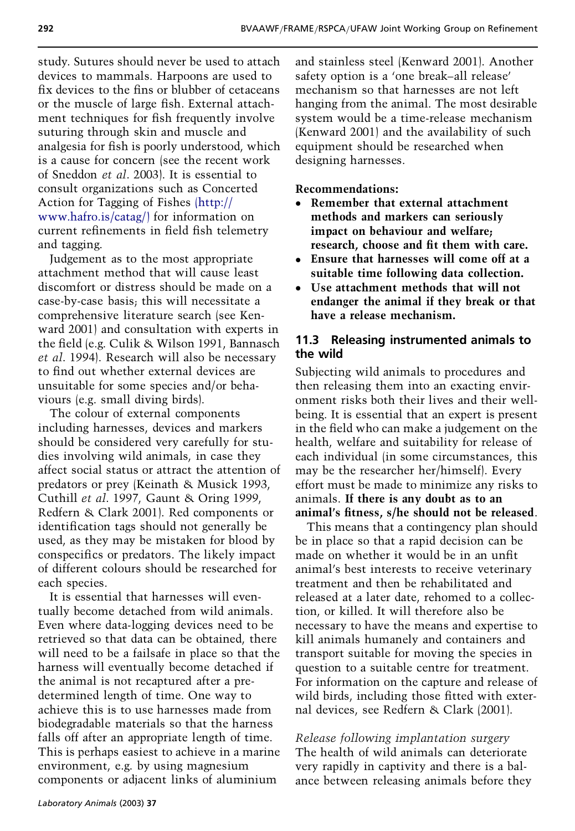study. Sutures should never be used to attach devices to mammals. Harpoons are used to fix devices to the fins or blubber of cetaceans or the muscle of large fish. External attachment techniques for fish frequently involve suturing through skin and muscle and analgesia for fish is poorly understood, which is a cause for concern (see the recent work of Sneddon *et al*. 2003). It is essential to consult organizations such as Concerted Action for Tagging of Fishes [\(http://](http://www.hafro.is/catag/) [www.hafro.is/catag/\)](http://www.hafro.is/catag/) for information on current refinements in field fish telemetry and tagging.

Judgement as to the most appropriate attachment method that will cause least discomfort or distress should be made on a case-by-case basis; this will necessitate a comprehensive literature search (see Kenward 2001) and consultation with experts in the field (e.g. Culik & Wilson 1991, Bannasch *et al*. 1994). Research will also be necessary to find out whether external devices are unsuitable for some species and/or behaviours (e.g. small diving birds).

The colour of external components including harnesses, devices and markers should be considered very carefully for studies involving wild animals, in case they affect social status or attract the attention of predators or prey (Keinath & Musick 1993, Cuthill *et al*. 1997, Gaunt & Oring 1999, Redfern & Clark 2001). Red components or identification tags should not generally be used, as they may be mistaken for blood by conspecifics or predators. The likely impact of different colours should be researched for each species.

It is essential that harnesses will eventually become detached from wild animals. Even where data-logging devices need to be retrieved so that data can be obtained, there will need to be a failsafe in place so that the harness will eventually become detached if the animal is not recaptured after a predetermined length of time. One way to achieve this is to use harnesses made from biodegradable materials so that the harness falls off after an appropriate length of time. This is perhaps easiest to achieve in a marine environment, e.g. by using magnesium components or adjacent links of aluminium

and stainless steel (Kenward 2001). Another safety option is a 'one break–all release' mechanism so that harnesses are not left hanging from the animal. The most desirable system would be a time-release mechanism (Kenward 2001) and the availability of such equipment should be researched when designing harnesses.

#### **Recommendations:**

- ° **Remember that external attachment methods and markers can seriously impact on behaviour and welfare; research, choose and t them with care.**
- ° **Ensure that harnesses will come off at a suitable time following data collection.**
- ° **Use attachment methods that will not endanger the animal if they break or that have a release mechanism.**

## **11.3 Releasing instrumented animals to the wild**

Subjecting wild animals to procedures and then releasing them into an exacting environment risks both their lives and their wellbeing. It is essential that an expert is present in the field who can make a judgement on the health, welfare and suitability for release of each individual (in some circumstances, this may be the researcher her/himself). Every effort must be made to minimize any risks to animals. **If there is any doubt as to an animal's tness, s/he should not be released**.

This means that a contingency plan should be in place so that a rapid decision can be made on whether it would be in an unfit animal's best interests to receive veterinary treatment and then be rehabilitated and released at a later date, rehomed to a collection, or killed. It will therefore also be necessary to have the means and expertise to kill animals humanely and containers and transport suitable for moving the species in question to a suitable centre for treatment. For information on the capture and release of wild birds, including those fitted with external devices, see Redfern & Clark (2001).

*Release following implantation surgery* The health of wild animals can deteriorate very rapidly in captivity and there is a balance between releasing animals before they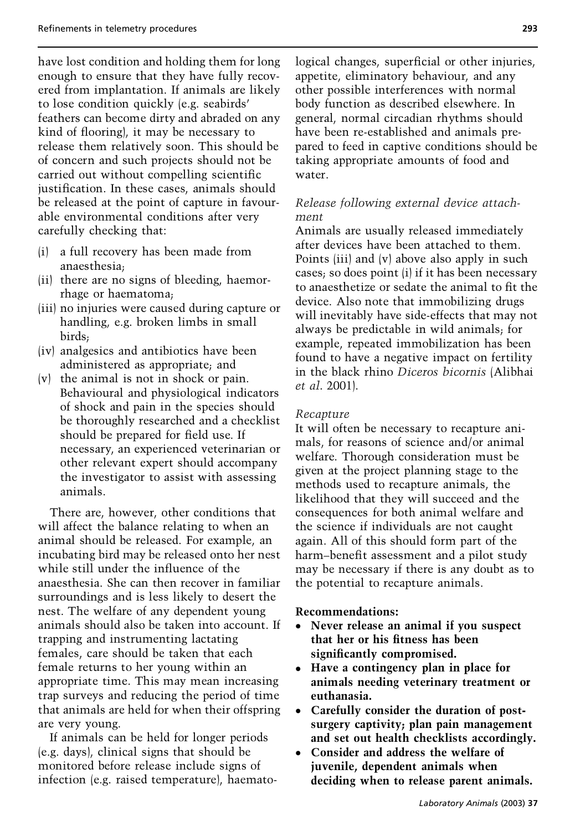have lost condition and holding them for long enough to ensure that they have fully recovered from implantation. If animals are likely to lose condition quickly (e.g. seabirds' feathers can become dirty and abraded on any kind of flooring), it may be necessary to release them relatively soon. This should be of concern and such projects should not be carried out without compelling scientific justification. In these cases, animals should be released at the point of capture in favourable environmental conditions after very carefully checking that:

- (i) a full recovery has been made from anaesthesia;
- (ii) there are no signs of bleeding, haemorrhage or haematoma;
- (iii) no injuries were caused during capture or handling, e.g. broken limbs in small birds;
- (iv) analgesics and antibiotics have been administered as appropriate; and
- (v) the animal is not in shock or pain. Behavioural and physiological indicators of shock and pain in the species should be thoroughly researched and a checklist should be prepared for field use. If necessary, an experienced veterinarian or other relevant expert should accompany the investigator to assist with assessing animals.

There are, however, other conditions that will affect the balance relating to when an animal should be released. For example, an incubating bird may be released onto her nest while still under the influence of the anaesthesia. She can then recover in familiar surroundings and is less likely to desert the nest. The welfare of any dependent young animals should also be taken into account. If trapping and instrumenting lactating females, care should be taken that each female returns to her young within an appropriate time. This may mean increasing trap surveys and reducing the period of time that animals are held for when their offspring are very young.

If animals can be held for longer periods (e.g. days), clinical signs that should be monitored before release include signs of infection (e.g. raised temperature), haematological changes, superficial or other injuries. appetite, eliminatory behaviour, and any other possible interferences with normal body function as described elsewhere. In general, normal circadian rhythms should have been re-established and animals prepared to feed in captive conditions should be taking appropriate amounts of food and water.

## *Release following external device attachment*

Animals are usually released immediately after devices have been attached to them. Points (iii) and (v) above also apply in such cases; so does point (i) if it has been necessary to anaesthetize or sedate the animal to fit the device. Also note that immobilizing drugs will inevitably have side-effects that may not always be predictable in wild animals; for example, repeated immobilization has been found to have a negative impact on fertility in the black rhino *Diceros bicornis* (Alibhai *et al*. 2001).

#### *Recapture*

It will often be necessary to recapture animals, for reasons of science and/or animal welfare. Thorough consideration must be given at the project planning stage to the methods used to recapture animals, the likelihood that they will succeed and the consequences for both animal welfare and the science if individuals are not caught again. All of this should form part of the harm–benefit assessment and a pilot study may be necessary if there is any doubt as to the potential to recapture animals.

#### **Recommendations:**

- ° **Never release an animal if you suspect that her or his tness has been signi cantly compromised.**
- ° **Have a contingency plan in place for animals needing veterinary treatment or euthanasia.**
- ° **Carefully consider the duration of postsurgery captivity; plan pain management and set out health checklists accordingly.**
- ° **Consider and address the welfare of juvenile, dependent animals when deciding when to release parent animals.**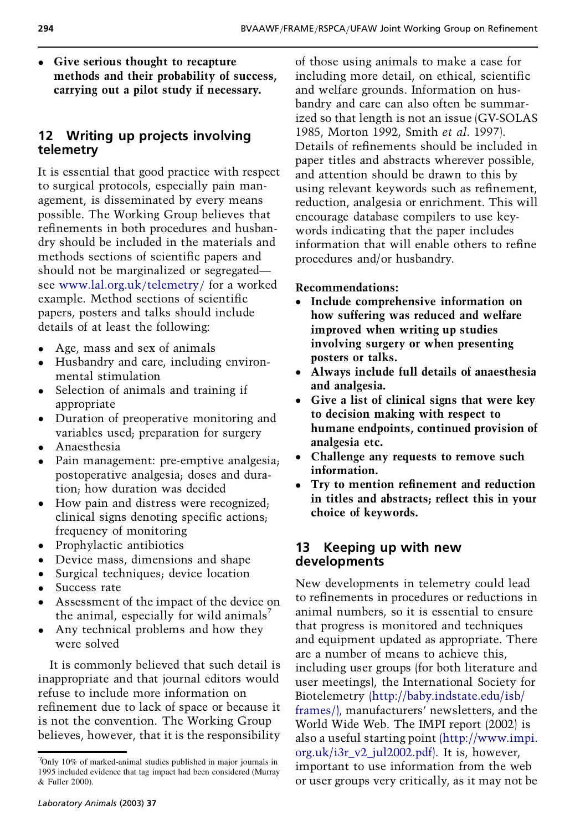° **Give serious thought to recapture methods and their probability of success, carrying out a pilot study if necessary.**

# **12 Writing up projects involving telemetry**

It is essential that good practice with respect to surgical protocols, especially pain management, is disseminated by every means possible. The Working Group believes that refinements in both procedures and husbandry should be included in the materials and methods sections of scientific papers and should not be marginalized or segregated see [www.lal.org.uk](http://www.lal.org.uk/telemetry/)/telemetry/ for a worked example. Method sections of scientific papers, posters and talks should include details of at least the following:

- ° Age, mass and sex of animals
- ° Husbandry and care, including environmental stimulation
- Selection of animals and training if appropriate
- ° Duration of preoperative monitoring and variables used; preparation for surgery
- Anaesthesia
- Pain management: pre-emptive analgesia; postoperative analgesia; doses and duration; how duration was decided
- How pain and distress were recognized; clinical signs denoting specific actions; frequency of monitoring
- Prophylactic antibiotics
- Device mass, dimensions and shape
- ° Surgical techniques; device location
- Success rate
- Assessment of the impact of the device on the animal, especially for wild animals<sup>7</sup>
- Any technical problems and how they were solved

It is commonly believed that such detail is inappropriate and that journal editors would refuse to include more information on refinement due to lack of space or because it is not the convention. The Working Group believes, however, that it is the responsibility

of those using animals to make a case for including more detail, on ethical, scientific and welfare grounds. Information on husbandry and care can also often be summarized so that length is not an issue (GV-SOLAS 1985, Morton 1992, Smith *et al*. 1997). Details of refinements should be included in paper titles and abstracts wherever possible, and attention should be drawn to this by using relevant keywords such as refinement, reduction, analgesia or enrichment. This will encourage database compilers to use keywords indicating that the paper includes information that will enable others to refine procedures and/or husbandry.

## **Recommendations:**

- ° **Include comprehensive information on how suffering was reduced and welfare improved when writing up studies involving surgery or when presenting posters or talks.**
- ° **Always include full details of anaesthesia and analgesia.**
- ° **Give a list of clinical signs that were key to decision making with respect to humane endpoints, continued provision of analgesia etc.**
- ° **Challenge any requests to remove such information.**
- ° **Try to mention renement and reduction in titles and abstracts; re ect this in your choice of keywords.**

# **13 Keeping up with new developments**

New developments in telemetry could lead to refinements in procedures or reductions in animal numbers, so it is essential to ensure that progress is monitored and techniques and equipment updated as appropriate. There are a number of means to achieve this, including user groups (for both literature and user meetings), the International Society for Biotelemetry [\(http://baby.indstate.edu/isb/](http://baby.indstate.edu/isb/frames/) [frames/\),](http://baby.indstate.edu/isb/frames/) manufacturers' newsletters, and the World Wide Web. The IMPI report (2002) is also a useful starting point [\(http://www.impi.](http://www.impi.org.uk/i3r_v2_jul2002.pdf) [org.uk/i3r\\_v2\\_jul2002.pdf\).](http://www.impi.org.uk/i3r_v2_jul2002.pdf) It is, however, important to use information from the web or user groups very critically, as it may not be

<sup>7</sup>Only 10% of marked-animal studies published in major journals in 1995 included evidence that tag impact had been considered (Murray & Fuller 2000).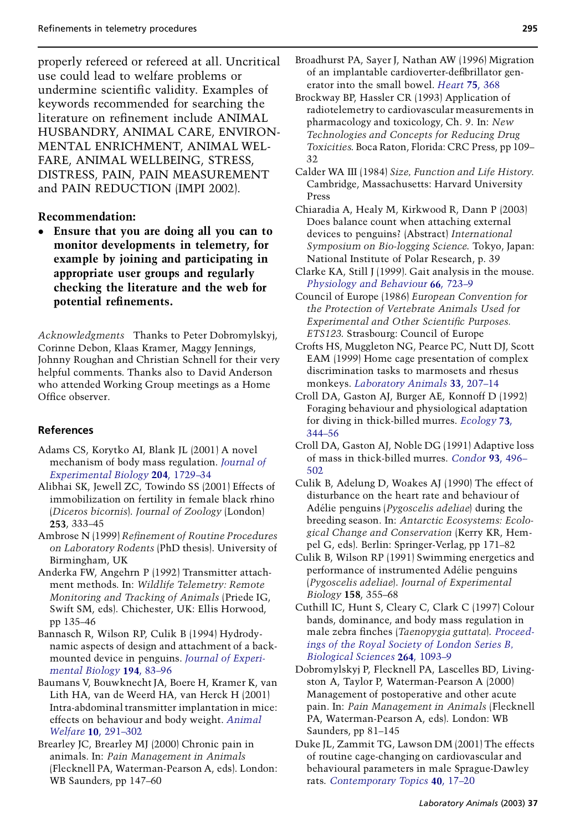properly refereed or refereed at all. Uncritical use could lead to welfare problems or undermine scientific validity. Examples of keywords recommended for searching the literature on refinement include ANIMAL HUSBANDRY, ANIMAL CARE, ENVIRON-MENTAL ENRICHMENT, ANIMAL WEL-FARE, ANIMAL WELLBEING, STRESS, DISTRESS, PAIN, PAIN MEASUREMENT and PAIN REDUCTION (IMPI 2002).

#### **Recommendation:**

° **Ensure that you are doing all you can to monitor developments in telemetry, for example by joining and participating in appropriate user groups and regularly checking the literature and the web for**  $potential$  **refinements.** 

*Acknowledgments* Thanks to Peter Dobromylskyj, Corinne Debon, Klaas Kramer, Maggy Jennings, Johnny Roughan and Christian Schnell for their very helpful comments. Thanks also to David Anderson who attended Working Group meetings as a Home Office observer.

#### **References**

- Adams CS, Korytko AI, Blank JL (2001) A novel mechanism of body mass regulation. *[Journal](http://www.ingentaconnect.com/content/external-references?article=/0022-0949^28^29204L.1729[aid=5252510]) of [Experimental](http://www.ingentaconnect.com/content/external-references?article=/0022-0949^28^29204L.1729[aid=5252510]) Biology* **204**, 1729–34
- Alibhai SK, Jewell ZC, Towindo SS (2001) Effects of immobilization on fertility in female black rhino (*Diceros bicornis*). *Journal of Zoology* (London) **253**, 333–45
- Ambrose N (1999) *Renement of Routine Procedures on Laboratory Rodents* (PhD thesis). University of Birmingham, UK
- Anderka FW, Angehrn P (1992) Transmitter attachment methods. In: *Wildlife Telemetry: Remote Monitoring and Tracking of Animals* (Priede IG, Swift SM, eds). Chichester, UK: Ellis Horwood, pp 135–46
- Bannasch R, Wilson RP, Culik B (1994) Hydrodynamic aspects of design and attachment of a backmounted device in penguins. *[Journal](http://www.ingentaconnect.com/content/external-references?article=/0022-0949^28^29194L.83[aid=2296183]) of Experimental [Biology](http://www.ingentaconnect.com/content/external-references?article=/0022-0949^28^29194L.83[aid=2296183])* **194**, 83–96
- Baumans V, Bouwknecht JA, Boere H, Kramer K, van Lith HA, van de Weerd HA, van Herck H (2001) Intra-abdominal transmitter implantation in mice: effects on behaviour and body weight. *[Animal](http://www.ingentaconnect.com/content/external-references?article=/0962-7286^28^2910L.291[aid=3438228]) Welfare* **10**, [291–302](http://www.ingentaconnect.com/content/external-references?article=/0962-7286^28^2910L.291[aid=3438228])
- Brearley JC, Brearley MJ (2000) Chronic pain in animals. In: *Pain Management in Animals* (Flecknell PA, Waterman-Pearson A, eds). London: WB Saunders, pp 147–60
- Broadhurst PA, Sayer J, Nathan AW (1996) Migration of an implantable cardioverter-defibrillator generator into the small bowel. *[Heart](http://www.ingentaconnect.com/content/external-references?article=/1355-6037^28^2975L.368[aid=5252511])* **75**, 368
- Brockway BP, Hassler CR (1993) Application of radiotelemetry to cardiovascular measurements in pharmacology and toxicology, Ch. 9. In: *New Technologies and Concepts for Reducing Drug Toxicities*. Boca Raton, Florida: CRC Press, pp 109– 32
- Calder WA III (1984) *Size, Function and Life History*. Cambridge, Massachusetts: Harvard University Press
- Chiaradia A, Healy M, Kirkwood R, Dann P (2003) Does balance count when attaching external devices to penguins? (Abstract) *International Symposium on Bio-logging Science*. Tokyo, Japan: National Institute of Polar Research, p. 39
- Clarke KA, Still J (1999). Gait analysis in the mouse. *[Physiology](http://www.ingentaconnect.com/content/external-references?article=/0031-9384^28^2966L.723[aid=1597625]) and Behaviour* **66**, 723–9
- Council of Europe (1986) *European Convention for the Protection of Vertebrate Animals Used for Experimental and Other Scientic Purposes. ETS123*. Strasbourg: Council of Europe
- Crofts HS, Muggleton NG, Pearce PC, Nutt DJ, Scott EAM (1999) Home cage presentation of complex discrimination tasks to marmosets and rhesus monkeys. *[Laboratory](http://www.ingentaconnect.com/content/external-references?article=/0023-6772^28^2933L.207[aid=5252512]) Animals* **33**, 207–14
- Croll DA, Gaston AJ, Burger AE, Konnoff D (1992) Foraging behaviour and physiological adaptation for diving in thick-billed murres. *[Ecology](http://www.ingentaconnect.com/content/external-references?article=/0012-9658^28^2973L.344[aid=4180904])* **73**, [344–56](http://www.ingentaconnect.com/content/external-references?article=/0012-9658^28^2973L.344[aid=4180904])
- Croll DA, Gaston AJ, Noble DG (1991) Adaptive loss of mass in thick-billed murres. *[Condor](http://www.ingentaconnect.com/content/external-references?article=/0010-5422^28^2993L.496[aid=5252513])* **93**, 496– [502](http://www.ingentaconnect.com/content/external-references?article=/0010-5422^28^2993L.496[aid=5252513])
- Culik B, Adelung D, Woakes AJ (1990) The effect of disturbance on the heart rate and behaviour of Adélie penguins (*Pygoscelis adeliae*) during the breeding season. In: *Antarctic Ecosystems: Ecological Change and Conservation* (Kerry KR, Hempel G, eds). Berlin: Springer-Verlag, pp 171–82
- Culik B, Wilson RP (1991) Swimming energetics and performance of instrumented Adélie penguins (*Pygoscelis adeliae*). *Journal of Experimental Biology* **158**, 355–68
- Cuthill IC, Hunt S, Cleary C, Clark C (1997) Colour bands, dominance, and body mass regulation in male zebra finches (*Taenopygia guttata*). *[Proceed](http://www.ingentaconnect.com/content/external-references?article=/0962-8452^28^29264L.1093[aid=1471955])ings of the Royal Society of [London](http://www.ingentaconnect.com/content/external-references?article=/0962-8452^28^29264L.1093[aid=1471955]) Series B, [Biological](http://www.ingentaconnect.com/content/external-references?article=/0962-8452^28^29264L.1093[aid=1471955]) Sciences* **264**, 1093–9
- Dobromylskyj P, Flecknell PA, Lascelles BD, Livingston A, Taylor P, Waterman-Pearson A (2000) Management of postoperative and other acute pain. In: *Pain Management in Animals* (Flecknell PA, Waterman-Pearson A, eds). London: WB Saunders, pp 81–145
- Duke JL, Zammit TG, Lawson DM (2001) The effects of routine cage-changing on cardiovascular and behavioural parameters in male Sprague-Dawley rats. *[Contemporary](http://www.ingentaconnect.com/content/external-references?article=/1060-0558^28^2940L.17[aid=2721241]) Topics* **40**, 17–20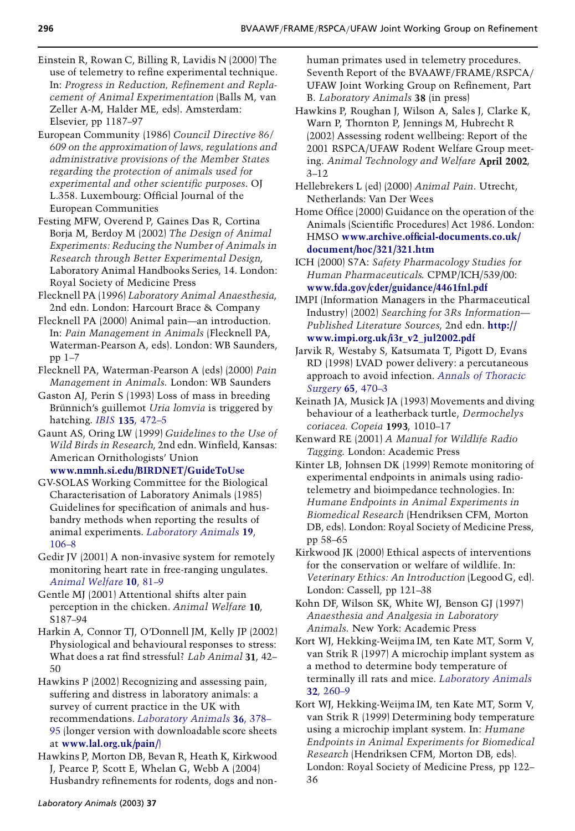**296** BVAAWF/FRAME/RSPCA/UFAW Joint Working Group on Refinement

- Einstein R, Rowan C, Billing R, Lavidis N (2000) The use of telemetry to refine experimental technique. In: *Progress* in Reduction, Refinement and Repla*cement of Animal Experimentation* (Balls M, van Zeller A-M, Halder ME, eds). Amsterdam: Elsevier, pp 1187–97
- European Community (1986) *Council Directive 86/ 609 on the approximation of laws, regulations and administrative provisions of the Member States regarding the protection of animals used for experimental and other scientic purposes*. OJ L.358. Luxembourg: Official Journal of the European Communities
- Festing MFW, Overend P, Gaines Das R, Cortina Borja M, Berdoy M (2002) *The Design of Animal Experiments: Reducing the Number of Animals in Research through Better Experimental Design*, Laboratory Animal Handbooks Series, 14. London: Royal Society of Medicine Press
- Flecknell PA (1996) *Laboratory Animal Anaesthesia*, 2nd edn. London: Harcourt Brace & Company
- Flecknell PA (2000) Animal pain—an introduction. In: *Pain Management in Animals* (Flecknell PA, Waterman-Pearson A, eds). London: WB Saunders, pp 1–7
- Flecknell PA, Waterman-Pearson A (eds) (2000) *Pain Management in Animals*. London: WB Saunders
- Gaston AJ, Perin S (1993) Loss of mass in breeding Brünnich's guillemot *Uria lomvia* is triggered by hatching. *IBIS* **135**, [472–5](http://www.ingentaconnect.com/content/external-references?article=/0019-1019^28^29135L.472[aid=5252515])
- Gaunt AS, Oring LW (1999) *Guidelines to the Use of Wild Birds in Research, 2nd edn. Winfield, Kansas:* American Ornithologists' Union **[www.nmnh.si.edu/BIRDNET/GuideToUse](http://www.nmnh.si.edu/BIRDNET/GuideToUse)**
- GV-SOLAS Working Committee for the Biological Characterisation of Laboratory Animals (1985) Guidelines for specification of animals and husbandry methods when reporting the results of animal experiments. *[Laboratory](http://www.ingentaconnect.com/content/external-references?article=/0023-6772^28^2919L.106[aid=1471984]) Animals* **19**, [106–8](http://www.ingentaconnect.com/content/external-references?article=/0023-6772^28^2919L.106[aid=1471984])
- Gedir JV (2001) A non-invasive system for remotely monitoring heart rate in free-ranging ungulates. *Animal [Welfare](http://www.ingentaconnect.com/content/external-references?article=/0962-7286^28^2910L.81[aid=5252516])* **10**, 81–9
- Gentle MJ (2001) Attentional shifts alter pain perception in the chicken. *Animal Welfare* **10**, S187–94
- Harkin A, Connor TJ, O'Donnell JM, Kelly JP (2002) Physiological and behavioural responses to stress: What does a rat find stressful? *Lab Animal* 31, 42-50
- Hawkins P (2002) Recognizing and assessing pain, suffering and distress in laboratory animals: a survey of current practice in the UK with recommendations. *[Laboratory](http://www.ingentaconnect.com/content/external-references?article=/0023-6772^28^2936L.378[aid=4683768]) Animals* **36**, 378– [95](http://www.ingentaconnect.com/content/external-references?article=/0023-6772^28^2936L.378[aid=4683768]) (longer version with downloadable score sheets at **[www.lal.org.uk/pain/](http://www.lal.org.uk/pain/)**)
- Hawkins P, Morton DB, Bevan R, Heath K, Kirkwood J, Pearce P, Scott E, Whelan G, Webb A (2004) Husbandry refinements for rodents, dogs and non-

human primates used in telemetry procedures. Seventh Report of the BVAAWF/FRAME/RSPCA/ UFAW Joint Working Group on Refinement, Part B. *Laboratory Animals* **38** (in press)

- Hawkins P, Roughan J, Wilson A, Sales J, Clarke K, Warn P, Thornton P, Jennings M, Hubrecht R (2002) Assessing rodent wellbeing: Report of the 2001 RSPCA/UFAW Rodent Welfare Group meeting. *Animal Technology and Welfare* **April 2002**, 3–12
- Hellebrekers L (ed) (2000) *Animal Pain*. Utrecht, Netherlands: Van Der Wees
- Home Office (2000) Guidance on the operation of the Animals (Scientific Procedures) Act 1986. London: HMSO www.archive.official-documents.co.uk/ **[document/hoc/321/321.htm](http://www.archive.official-documents.co.uk/document/hoc/321/321.htm)**
- ICH (2000) S7A: *Safety Pharmacology Studies for Human Pharmaceuticals*. CPMP/ICH/539/00: **[www.fda.gov/cder/guidance/4461fnl.pdf](http://www.fda.gov/cder/guidance/4461fnl.pdf)**
- IMPI (Information Managers in the Pharmaceutical Industry) (2002) *Searching for 3Rs Information— Published Literature Sources*, 2nd edn. **[http://](http://www.impi.org.uk/i3r_v2_jul2002.pdf) [www.impi.org.uk/i3r\\_v2\\_jul2002.pdf](http://www.impi.org.uk/i3r_v2_jul2002.pdf)**
- Jarvik R, Westaby S, Katsumata T, Pigott D, Evans RD (1998) LVAD power delivery: a percutaneous approach to avoid infection. *Annals of [Thoracic](http://www.ingentaconnect.com/content/external-references?article=/0003-4975^28^2965L.470[aid=5252518]) [Surgery](http://www.ingentaconnect.com/content/external-references?article=/0003-4975^28^2965L.470[aid=5252518])* **65**, 470–3
- Keinath JA, Musick JA (1993) Movements and diving behaviour of a leatherback turtle, *Dermochelys coriacea. Copeia* **1993**, 1010–17
- Kenward RE (2001) *A Manual for Wildlife Radio Tagging*. London: Academic Press
- Kinter LB, Johnsen DK (1999) Remote monitoring of experimental endpoints in animals using radiotelemetry and bioimpedance technologies. In: *Humane Endpoints in Animal Experiments in Biomedical Research* (Hendriksen CFM, Morton DB, eds). London: Royal Society of Medicine Press, pp 58–65
- Kirkwood JK (2000) Ethical aspects of interventions for the conservation or welfare of wildlife. In: *Veterinary Ethics: An Introduction* (Legood G, ed). London: Cassell, pp 121–38
- Kohn DF, Wilson SK, White WJ, Benson GJ (1997) *Anaesthesia and Analgesia in Laboratory Animals*. New York: Academic Press
- Kort WJ, Hekking-Weijma IM, ten Kate MT, Sorm V, van Strik R (1997) A microchip implant system as a method to determine body temperature of terminally ill rats and mice. *[Laboratory](http://www.ingentaconnect.com/content/external-references?article=/0023-6772^28^2932L.260[aid=309899]) Animals* **32**, [260–9](http://www.ingentaconnect.com/content/external-references?article=/0023-6772^28^2932L.260[aid=309899])
- Kort WJ, Hekking-Weijma IM, ten Kate MT, Sorm V, van Strik R (1999) Determining body temperature using a microchip implant system. In: *Humane Endpoints in Animal Experiments for Biomedical Research* (Hendriksen CFM, Morton DB, eds). London: Royal Society of Medicine Press, pp 122– 36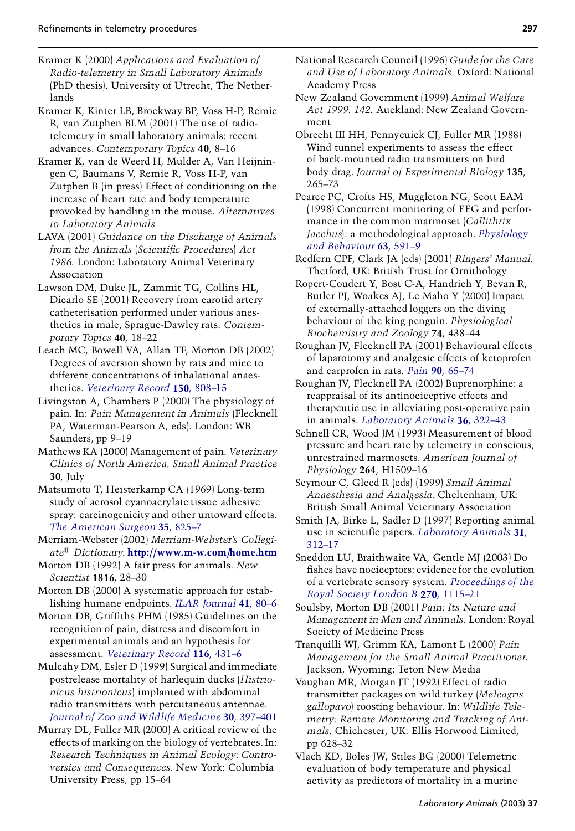- Kramer K (2000) *Applications and Evaluation of Radio-telemetry in Small Laboratory Animals* (PhD thesis). University of Utrecht, The Netherlands
- Kramer K, Kinter LB, Brockway BP, Voss H-P, Remie R, van Zutphen BLM (2001) The use of radiotelemetry in small laboratory animals: recent advances. *Contemporary Topics* **40**, 8–16
- Kramer K, van de Weerd H, Mulder A, Van Heijningen C, Baumans V, Remie R, Voss H-P, van Zutphen B (in press) Effect of conditioning on the increase of heart rate and body temperature provoked by handling in the mouse. *Alternatives to Laboratory Animals*
- LAVA (2001) *Guidance on the Discharge of Animals from the Animals* (*Scientic Procedures*) *Act 1986*. London: Laboratory Animal Veterinary Association
- Lawson DM, Duke JL, Zammit TG, Collins HL, Dicarlo SE (2001) Recovery from carotid artery catheterisation performed under various anesthetics in male, Sprague-Dawley rats. *Contemporary Topics* **40**, 18–22
- Leach MC, Bowell VA, Allan TF, Morton DB (2002) Degrees of aversion shown by rats and mice to different concentrations of inhalational anaesthetics. *[Veterinary](http://www.ingentaconnect.com/content/external-references?article=/0042-4900^28^29150L.808[aid=4994359]) Record* **150**, 808–15
- Livingston A, Chambers P (2000) The physiology of pain. In: *Pain Management in Animals* (Flecknell PA, Waterman-Pearson A, eds). London: WB Saunders, pp 9–19
- Mathews KA (2000) Management of pain. *Veterinary Clinics of North America, Small Animal Practice* **30**, July
- Matsumoto T, Heisterkamp CA (1969) Long-term study of aerosol cyanoacrylate tissue adhesive spray: carcinogenicity and other untoward effects. *The [American](http://www.ingentaconnect.com/content/external-references?article=/0003-1348^28^2935L.825[aid=5252521]) Surgeon* **35**, 825–7
- Merriam-Webster (2002) *Merriam-Webster's Collegiate*<sup>1</sup> *Dictionary*. **<http://www.m-w.com/home.htm>**
- Morton DB (1992) A fair press for animals. *New Scientist* **1816**, 28–30
- Morton DB (2000) A systematic approach for establishing humane endpoints. *ILAR [Journal](http://www.ingentaconnect.com/content/external-references?article=/1084-2020^28^2941L.80[aid=2998153])* **41**, 80–6
- Morton DB, Griffiths PHM (1985) Guidelines on the recognition of pain, distress and discomfort in experimental animals and an hypothesis for assessment. *[Veterinary](http://www.ingentaconnect.com/content/external-references?article=/0042-4900^28^29116L.431[aid=1285802]) Record* **116**, 431–6
- Mulcahy DM, Esler D (1999) Surgical and immediate postrelease mortality of harlequin ducks (*Histrionicus histrionicus*) implanted with abdominal radio transmitters with percutaneous antennae. *Journal of Zoo and Wildlife [Medicine](http://www.ingentaconnect.com/content/external-references?article=/1042-7260^28^2930L.397[aid=5252522])* **30**, 397–401
- Murray DL, Fuller MR (2000) A critical review of the effects of marking on the biology of vertebrates. In: *Research Techniques in Animal Ecology: Controversies and Consequences*. New York: Columbia University Press, pp 15–64
- National Research Council (1996) *Guide for the Care and Use of Laboratory Animals*. Oxford: National Academy Press
- New Zealand Government (1999) *Animal Welfare Act 1999. 142*. Auckland: New Zealand Government
- Obrecht III HH, Pennycuick CJ, Fuller MR (1988) Wind tunnel experiments to assess the effect of back-mounted radio transmitters on bird body drag. *Journal of Experimental Biology* **135**, 265–73
- Pearce PC, Crofts HS, Muggleton NG, Scott EAM (1998) Concurrent monitoring of EEG and perfor mance in the common marmoset (*Callithrix jacchus*): a methodological approach. *[Physiology](http://www.ingentaconnect.com/content/external-references?article=/0031-9384^28^2963L.591[aid=5252524]) and [Behaviour](http://www.ingentaconnect.com/content/external-references?article=/0031-9384^28^2963L.591[aid=5252524])* **63**, 591–9
- Redfern CPF, Clark JA (eds) (2001) *Ringers' Manual*. Thetford, UK: British Trust for Ornithology
- Ropert-Coudert Y, Bost C-A, Handrich Y, Bevan R, Butler PJ, Woakes AJ, Le Maho Y (2000) Impact of externally-attached loggers on the diving behaviour of the king penguin. *Physiological Biochemistry and Zoology* **74**, 438–44
- Roughan JV, Flecknell PA (2001) Behavioural effects of laparotomy and analgesic effects of ketoprofen and carprofen in rats. *Pain* **90**, [65–74](http://www.ingentaconnect.com/content/external-references?article=/0304-3959^28^2990L.65[aid=2193938])
- Roughan JV, Flecknell PA (2002) Buprenorphine: a reappraisal of its antinociceptive effects and therapeutic use in alleviating post-operative pain in animals. *[Laboratory](http://www.ingentaconnect.com/content/external-references?article=/0023-6772^28^2936L.322[aid=5252525]) Animals* **36**, 322–43
- Schnell CR, Wood JM (1993) Measurement of blood pressure and heart rate by telemetry in conscious, unrestrained marmosets. *American Journal of Physiology* **264**, H1509–16
- Seymour C, Gleed R (eds) (1999) *Small Animal Anaesthesia and Analgesia*. Cheltenham, UK: British Small Animal Veterinary Association
- Smith JA, Birke L, Sadler D (1997) Reporting animal use in scientific papers. *[Laboratory](http://www.ingentaconnect.com/content/external-references?article=/0023-6772^28^2931L.312[aid=1472066]) Animals* 31, [312–17](http://www.ingentaconnect.com/content/external-references?article=/0023-6772^28^2931L.312[aid=1472066])
- Sneddon LU, Braithwaite VA, Gentle MJ (2003) Do fishes have nociceptors: evidence for the evolution of a vertebrate sensory system. *[Proceedings](http://www.ingentaconnect.com/content/external-references?article=/0962-8452^28^29270L.1115[aid=5252526]) of the Royal Society London B* **270**, [1115–21](http://www.ingentaconnect.com/content/external-references?article=/0962-8452^28^29270L.1115[aid=5252526])
- Soulsby, Morton DB (2001) *Pain: Its Nature and Managementin Man and Animals*. London: Royal Society of Medicine Press
- Tranquilli WJ, Grimm KA, Lamont L (2000) *Pain Management for the Small Animal Practitioner*. Jackson, Wyoming: Teton New Media
- Vaughan MR, Morgan JT (1992) Effect of radio transmitter packages on wild turkey (*Meleagris gallopavo*) roosting behaviour. In: *Wildlife Telemetry: Remote Monitoring and Tracking of Animals*. Chichester, UK: Ellis Horwood Limited, pp 628–32
- Vlach KD, Boles JW, Stiles BG (2000) Telemetric evaluation of body temperature and physical activity as predictors of mortality in a murine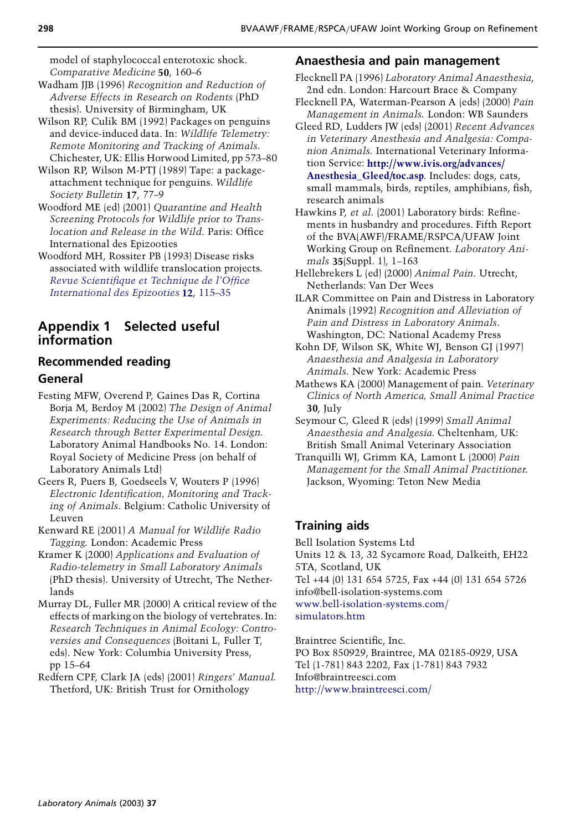model of staphylococcal enterotoxic shock. *Comparative Medicine* **50**, 160–6

- Wadham JJB (1996) *Recognition and Reduction of Adverse Effects in Research on Rodents* (PhD thesis). University of Birmingham, UK
- Wilson RP, Culik BM (1992) Packages on penguins and device-induced data. In: *Wildlife Telemetry: Remote Monitoring and Tracking of Animals*. Chichester, UK: Ellis Horwood Limited, pp 573–80
- Wilson RP, Wilson M-PTJ (1989) Tape: a packageattachment technique for penguins. *Wildlife Society Bulletin* **17**, 77–9
- Woodford ME (ed) (2001) *Quarantine and Health Screening Protocols for Wildlife prior to Translocation and Release in the Wild*. Paris: Office International des Epizooties
- Woodford MH, Rossiter PB (1993) Disease risks associated with wildlife translocation projects. *Revue [Scientique](http://www.ingentaconnect.com/content/external-references?article=/0253-1933^28^2912L.115[aid=5252529]) et Technique de l'Of ce [International](http://www.ingentaconnect.com/content/external-references?article=/0253-1933^28^2912L.115[aid=5252529]) des Epizooties* **12**, 115–35

# **Appendix 1 Selected useful information**

# **Recommended reading**

## **General**

- Festing MFW, Overend P, Gaines Das R, Cortina Borja M, Berdoy M (2002) *The Design of Animal Experiments: Reducing the Use of Animals in Research through Better Experimental Design*. Laboratory Animal Handbooks No. 14. London: Royal Society of Medicine Press (on behalf of Laboratory Animals Ltd)
- Geers R, Puers B, Goedseels V, Wouters P (1996)  $Electronic Identification, Monitoring and Track$ *ing of Animals*. Belgium: Catholic University of Leuven
- Kenward RE (2001) *A Manual for Wildlife Radio Tagging*. London: Academic Press
- Kramer K (2000) *Applications and Evaluation of Radio-telemetry in Small Laboratory Animals* (PhD thesis). University of Utrecht, The Netherlands
- Murray DL, Fuller MR (2000) A critical review of the effects of marking on the biology of vertebrates. In: *Research Techniques in Animal Ecology: Controversies and Consequences* (Boitani L, Fuller T, eds). New York: Columbia University Press, pp 15–64
- Redfern CPF, Clark JA (eds) (2001) *Ringers' Manual*. Thetford, UK: British Trust for Ornithology

#### **Anaesthesia and pain management**

Flecknell PA (1996) *Laboratory Animal Anaesthesia*, 2nd edn. London: Harcourt Brace & Company

- Flecknell PA, Waterman-Pearson A (eds) (2000) *Pain Management in Animals*. London: WB Saunders
- Gleed RD, Ludders JW (eds) (2001) *Recent Advances in Veterinary Anesthesia and Analgesia: Companion Animals*. International Veterinary Information Service: **[http://www.ivis.org/advances/](http://www.ivis.org/advances/Anesthesia_Gleed/toc.asp) [Anesthesia\\_Gleed/toc.asp](http://www.ivis.org/advances/Anesthesia_Gleed/toc.asp)**. Includes: dogs, cats, small mammals, birds, reptiles, amphibians, fish, research animals
- Hawkins P, et al. (2001) Laboratory birds: Refinements in husbandry and procedures. Fifth Report of the BVA(AWF)/FRAME/RSPCA/UFAW Joint Working Group on Refinement. *Laboratory Animals* **35**(Suppl. 1), 1–163
- Hellebrekers L (ed) (2000) *Animal Pain*. Utrecht, Netherlands: Van Der Wees
- ILAR Committee on Pain and Distress in Laboratory Animals (1992) *Recognition and Alleviation of Pain and Distress in Laboratory Animals*. Washington, DC: National Academy Press
- Kohn DF, Wilson SK, White WJ, Benson GJ (1997) *Anaesthesia and Analgesia in Laboratory Animals*. New York: Academic Press
- Mathews KA (2000) Management of pain. *Veterinary Clinics of North America, Small Animal Practice* **30**, July
- Seymour C, Gleed R (eds) (1999) *Small Animal Anaesthesia and Analgesia*. Cheltenham, UK: British Small Animal Veterinary Association
- Tranquilli WJ, Grimm KA, Lamont L (2000) *Pain Management for the Small Animal Practitioner*. Jackson, Wyoming: Teton New Media

# **Training aids**

Bell Isolation Systems Ltd

Units 12 & 13, 32 Sycamore Road, Dalkeith, EH22 5TA, Scotland, UK Tel +44 (0) 131 654 5725, Fax +44 (0) 131 654 5726 info@bell-isolation-systems.com [www.bell-isolation-systems.com/](http://www.bell-isolation-systems.com/simulators.htm) [simulators.htm](http://www.bell-isolation-systems.com/simulators.htm)

Braintree Scientific, Inc. PO Box 850929, Braintree, MA 02185-0929, USA Tel (1-781) 843 2202, Fax (1-781) 843 7932 Info@braintreesci.com <http://www.braintreesci.com/>